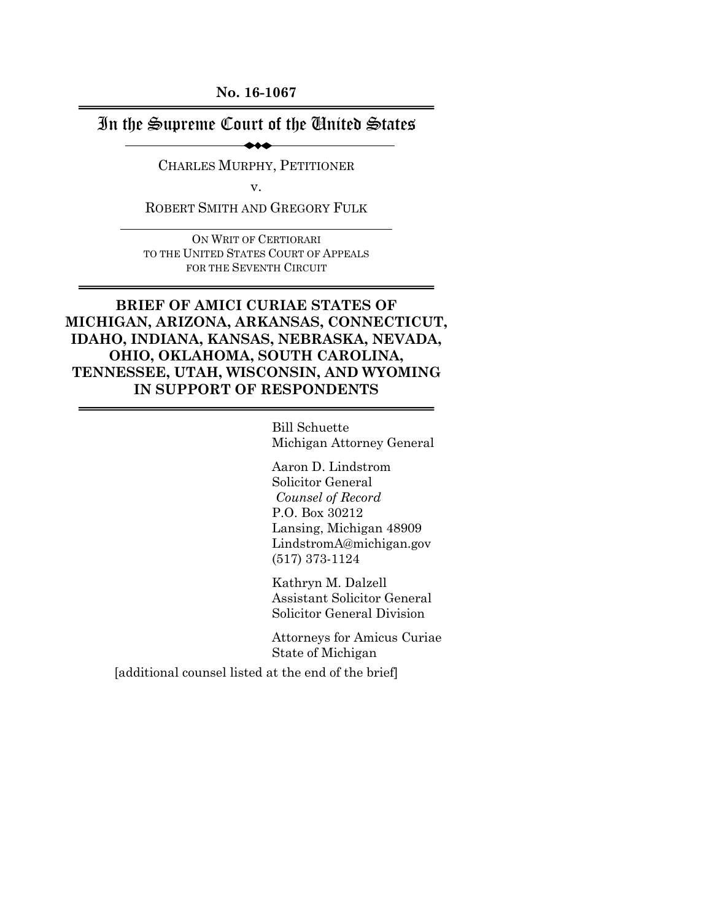**No. 16-1067**

# In the Supreme Court of the United States

CHARLES MURPHY, PETITIONER

v.

ROBERT SMITH AND GREGORY FULK

ON WRIT OF CERTIORARI TO THE UNITED STATES COURT OF APPEALS FOR THE SEVENTH CIRCUIT

#### **BRIEF OF AMICI CURIAE STATES OF MICHIGAN, ARIZONA, ARKANSAS, CONNECTICUT, IDAHO, INDIANA, KANSAS, NEBRASKA, NEVADA, OHIO, OKLAHOMA, SOUTH CAROLINA, TENNESSEE, UTAH, WISCONSIN, AND WYOMING IN SUPPORT OF RESPONDENTS**

Bill Schuette Michigan Attorney General

Aaron D. Lindstrom Solicitor General *Counsel of Record* P.O. Box 30212 Lansing, Michigan 48909 LindstromA@michigan.gov (517) 373-1124

Kathryn M. Dalzell Assistant Solicitor General Solicitor General Division

Attorneys for Amicus Curiae State of Michigan

[additional counsel listed at the end of the brief]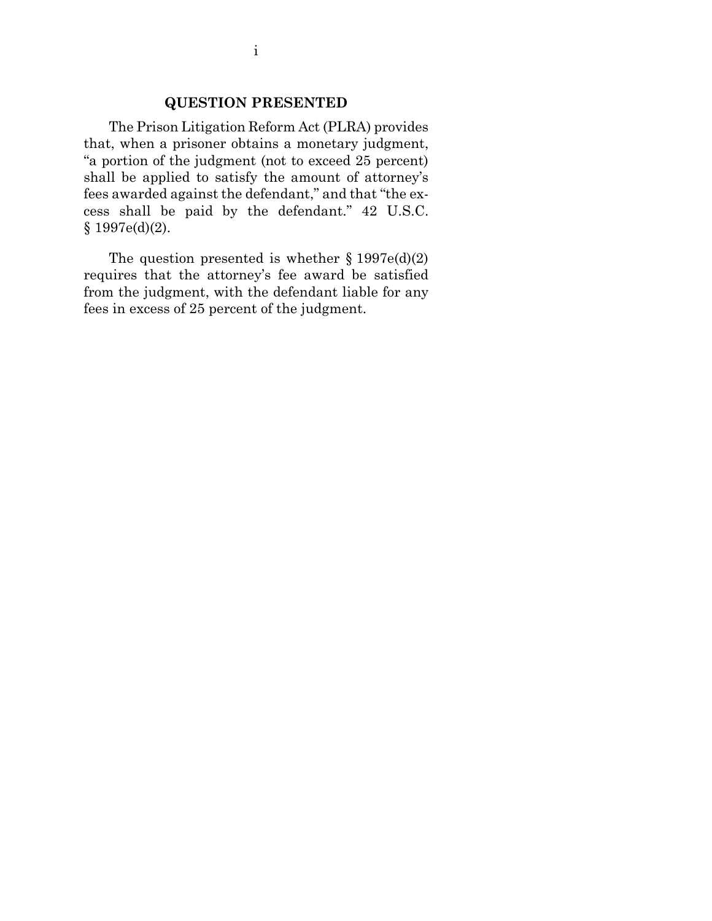#### **QUESTION PRESENTED**

<span id="page-1-0"></span>The Prison Litigation Reform Act (PLRA) provides that, when a prisoner obtains a monetary judgment, "a portion of the judgment (not to exceed 25 percent) shall be applied to satisfy the amount of attorney's fees awarded against the defendant," and that "the excess shall be paid by the defendant." 42 U.S.C. § 1997e(d)(2).

The question presented is whether  $\S 1997e(d)(2)$ requires that the attorney's fee award be satisfied from the judgment, with the defendant liable for any fees in excess of 25 percent of the judgment.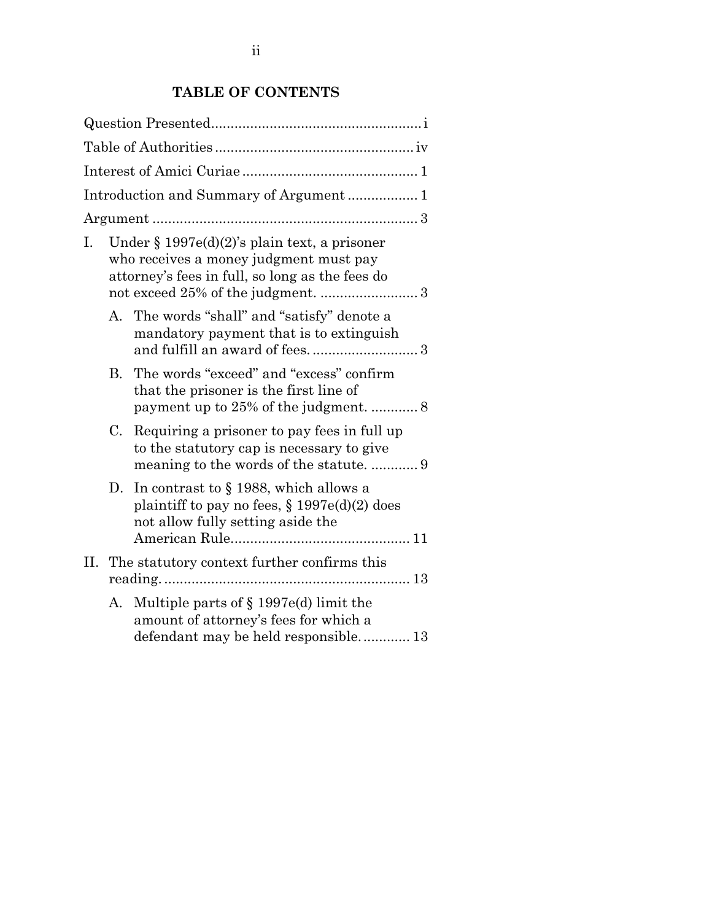# **TABLE OF CONTENTS**

|    |    | Introduction and Summary of Argument 1                                                                                                    |
|----|----|-------------------------------------------------------------------------------------------------------------------------------------------|
|    |    |                                                                                                                                           |
| Ι. |    | Under § 1997e(d)(2)'s plain text, a prisoner<br>who receives a money judgment must pay<br>attorney's fees in full, so long as the fees do |
|    |    | A. The words "shall" and "satisfy" denote a<br>mandatory payment that is to extinguish                                                    |
|    | B. | The words "exceed" and "excess" confirm<br>that the prisoner is the first line of                                                         |
|    | C. | Requiring a prisoner to pay fees in full up<br>to the statutory cap is necessary to give                                                  |
|    | D. | In contrast to $\S$ 1988, which allows a<br>plaintiff to pay no fees, $\S 1997e(d)(2)$ does<br>not allow fully setting aside the          |
| П. |    | The statutory context further confirms this                                                                                               |
|    | А. | Multiple parts of $\S 1997e(d)$ limit the<br>amount of attorney's fees for which a<br>defendant may be held responsible 13                |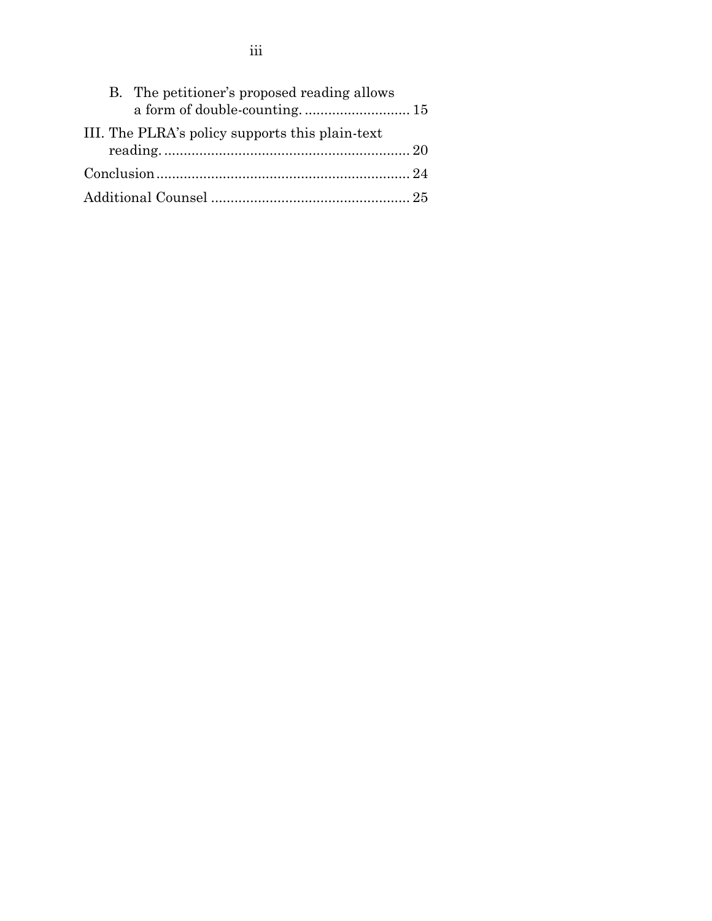| B. The petitioner's proposed reading allows     |  |
|-------------------------------------------------|--|
|                                                 |  |
| III. The PLRA's policy supports this plain-text |  |
|                                                 |  |
|                                                 |  |
|                                                 |  |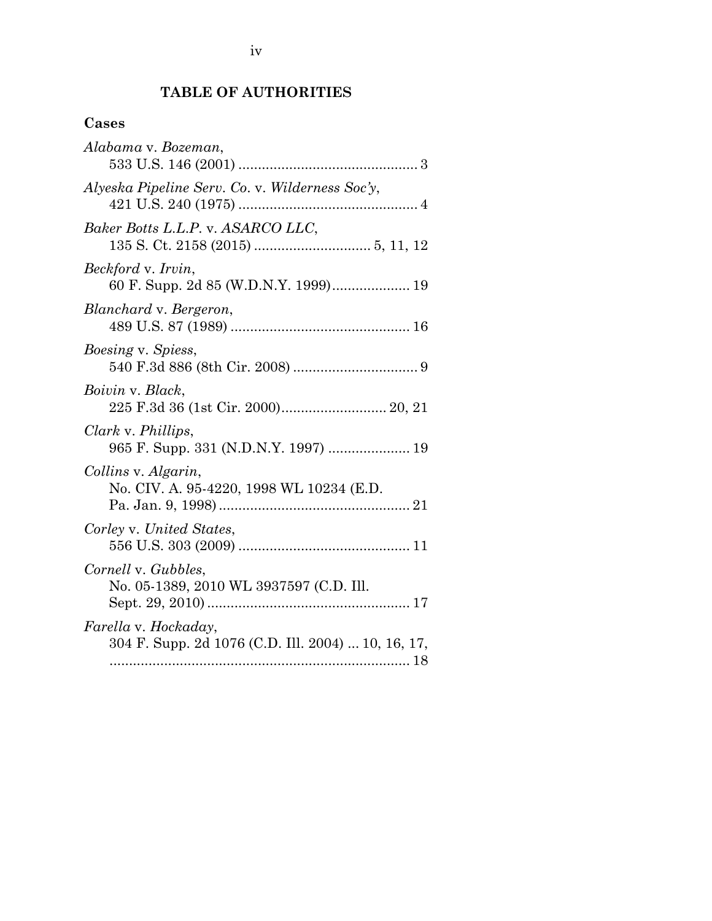# **TABLE OF AUTHORITIES**

## <span id="page-4-0"></span>**Cases**

| Alabama v. Bozeman,                                                               |
|-----------------------------------------------------------------------------------|
| Alyeska Pipeline Serv. Co. v. Wilderness Soc'y,                                   |
| Baker Botts L.L.P. v. ASARCO LLC,                                                 |
| Beckford v. Irvin,<br>60 F. Supp. 2d 85 (W.D.N.Y. 1999) 19                        |
| Blanchard v. Bergeron,                                                            |
| <i>Boesing v. Spiess,</i>                                                         |
| Boivin v. Black,<br>225 F.3d 36 (1st Cir. 2000) 20, 21                            |
| Clark v. Phillips,<br>965 F. Supp. 331 (N.D.N.Y. 1997)  19                        |
| Collins v. Algarin,<br>No. CIV. A. 95-4220, 1998 WL 10234 (E.D.                   |
| Corley v. United States,                                                          |
| Cornell v. Gubbles,<br>No. 05-1389, 2010 WL 3937597 (C.D. Ill.                    |
| <i>Farella</i> v. Hockaday,<br>304 F. Supp. 2d 1076 (C.D. Ill. 2004)  10, 16, 17, |
|                                                                                   |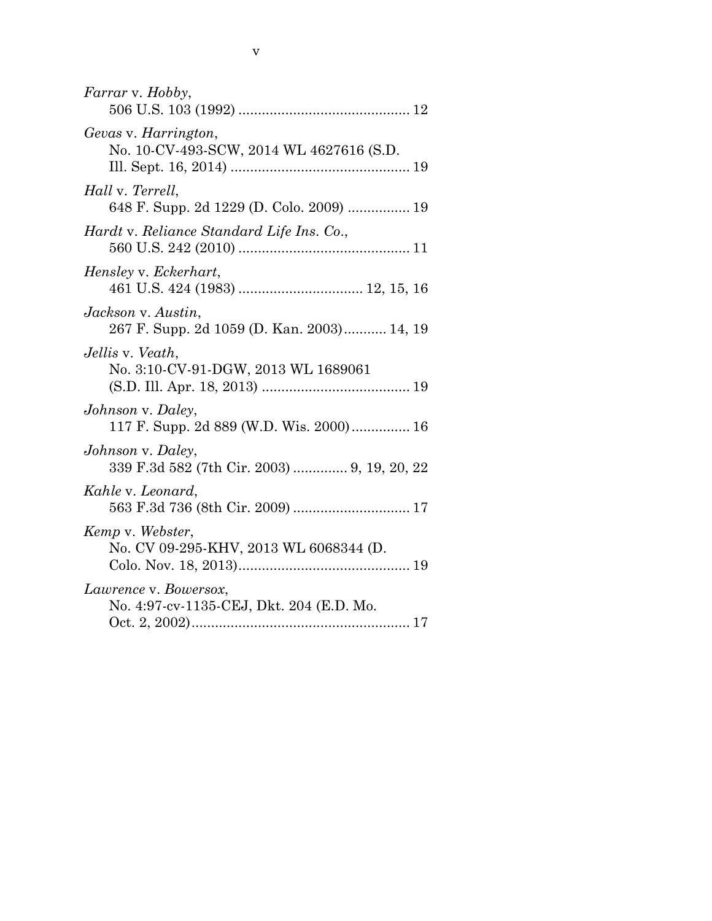| <i>Farrar</i> v. <i>Hobby</i> ,                                   |
|-------------------------------------------------------------------|
| Gevas v. Harrington,<br>No. 10-CV-493-SCW, 2014 WL 4627616 (S.D.  |
| Hall v. Terrell,<br>648 F. Supp. 2d 1229 (D. Colo. 2009)  19      |
| Hardt v. Reliance Standard Life Ins. Co.,                         |
| Hensley v. Eckerhart,                                             |
| Jackson v. Austin,<br>267 F. Supp. 2d 1059 (D. Kan. 2003) 14, 19  |
| Jellis v. Veath,<br>No. 3:10-CV-91-DGW, 2013 WL 1689061           |
| Johnson v. Daley,<br>117 F. Supp. 2d 889 (W.D. Wis. 2000) 16      |
| Johnson v. Daley,<br>339 F.3d 582 (7th Cir. 2003)  9, 19, 20, 22  |
| Kahle v. Leonard,                                                 |
| Kemp v. Webster,<br>No. CV 09-295-KHV, 2013 WL 6068344 (D.        |
| Lawrence v. Bowersox,<br>No. 4:97-cv-1135-CEJ, Dkt. 204 (E.D. Mo. |
|                                                                   |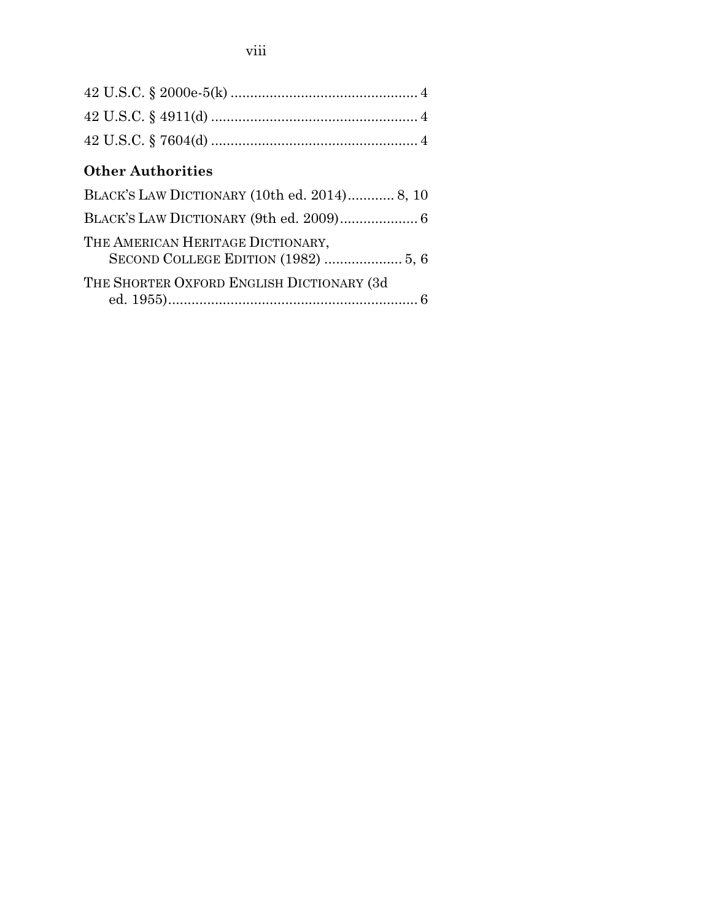| <b>Other Authorities</b>                     |  |
|----------------------------------------------|--|
| BLACK'S LAW DICTIONARY (10th ed. 2014) 8, 10 |  |
|                                              |  |

| BLACK'S LAW DICTIONARY (9th ed. 2009) 6   |
|-------------------------------------------|
| THE AMERICAN HERITAGE DICTIONARY,         |
| THE SHORTER OXFORD ENGLISH DICTIONARY (3d |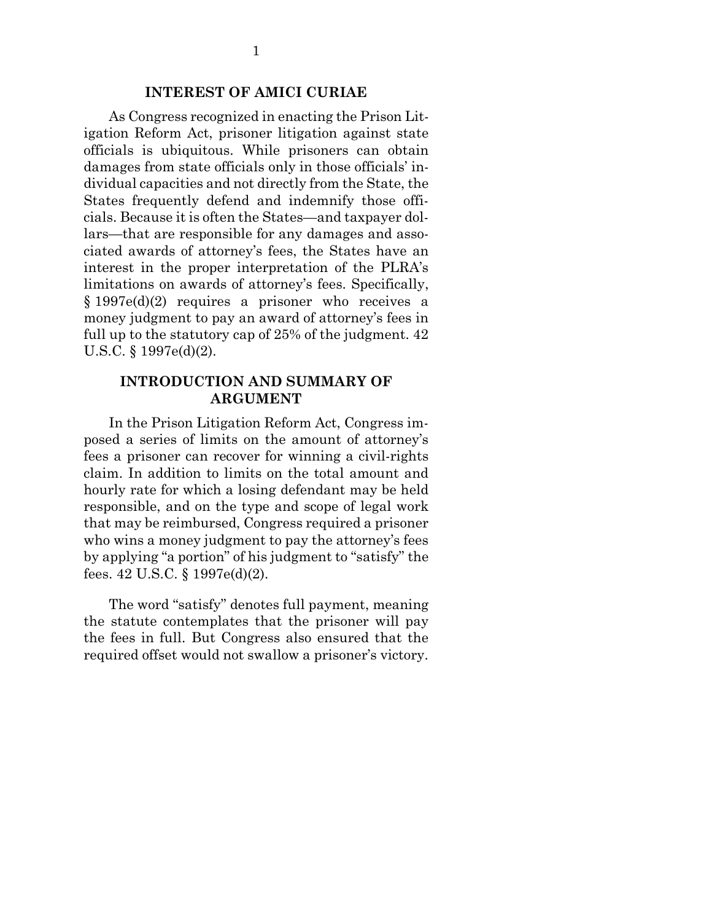#### **INTEREST OF AMICI CURIAE**

<span id="page-9-0"></span>As Congress recognized in enacting the Prison Litigation Reform Act, prisoner litigation against state officials is ubiquitous. While prisoners can obtain damages from state officials only in those officials' individual capacities and not directly from the State, the States frequently defend and indemnify those officials. Because it is often the States—and taxpayer dollars—that are responsible for any damages and associated awards of attorney's fees, the States have an interest in the proper interpretation of the PLRA's limitations on awards of attorney's fees. Specifically, § 1997e(d)(2) requires a prisoner who receives a money judgment to pay an award of attorney's fees in full up to the statutory cap of 25% of the judgment. 42 U.S.C. § 1997e(d)(2).

#### <span id="page-9-1"></span>**INTRODUCTION AND SUMMARY OF ARGUMENT**

In the Prison Litigation Reform Act, Congress imposed a series of limits on the amount of attorney's fees a prisoner can recover for winning a civil-rights claim. In addition to limits on the total amount and hourly rate for which a losing defendant may be held responsible, and on the type and scope of legal work that may be reimbursed, Congress required a prisoner who wins a money judgment to pay the attorney's fees by applying "a portion" of his judgment to "satisfy" the fees. 42 U.S.C. § 1997e(d)(2).

The word "satisfy" denotes full payment, meaning the statute contemplates that the prisoner will pay the fees in full. But Congress also ensured that the required offset would not swallow a prisoner's victory.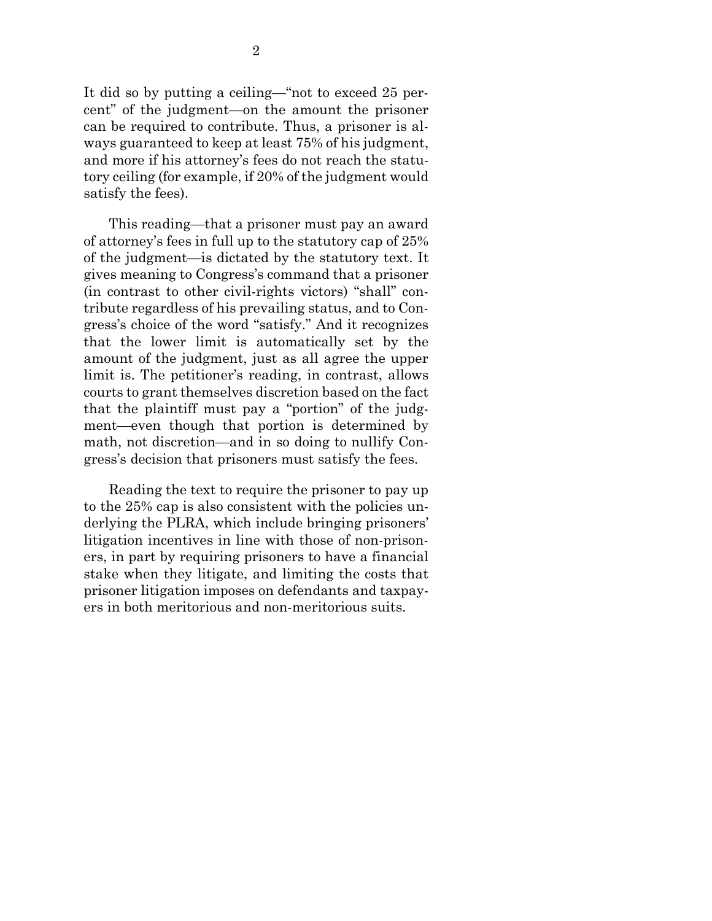It did so by putting a ceiling—"not to exceed 25 percent" of the judgment—on the amount the prisoner can be required to contribute. Thus, a prisoner is always guaranteed to keep at least 75% of his judgment, and more if his attorney's fees do not reach the statutory ceiling (for example, if 20% of the judgment would satisfy the fees).

This reading—that a prisoner must pay an award of attorney's fees in full up to the statutory cap of 25% of the judgment—is dictated by the statutory text. It gives meaning to Congress's command that a prisoner (in contrast to other civil-rights victors) "shall" contribute regardless of his prevailing status, and to Congress's choice of the word "satisfy." And it recognizes that the lower limit is automatically set by the amount of the judgment, just as all agree the upper limit is. The petitioner's reading, in contrast, allows courts to grant themselves discretion based on the fact that the plaintiff must pay a "portion" of the judgment—even though that portion is determined by math, not discretion—and in so doing to nullify Congress's decision that prisoners must satisfy the fees.

Reading the text to require the prisoner to pay up to the 25% cap is also consistent with the policies underlying the PLRA, which include bringing prisoners' litigation incentives in line with those of non-prisoners, in part by requiring prisoners to have a financial stake when they litigate, and limiting the costs that prisoner litigation imposes on defendants and taxpayers in both meritorious and non-meritorious suits.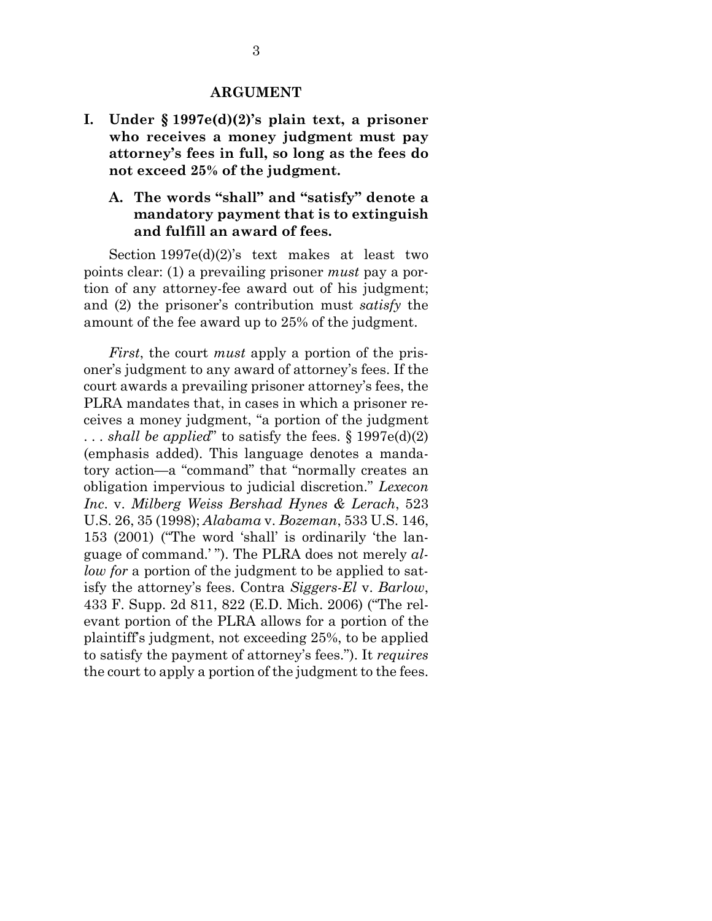#### **ARGUMENT**

<span id="page-11-1"></span><span id="page-11-0"></span>**I. Under § 1997e(d)(2)'s plain text, a prisoner who receives a money judgment must pay attorney's fees in full, so long as the fees do not exceed 25% of the judgment.**

#### <span id="page-11-2"></span>**A. The words "shall" and "satisfy" denote a mandatory payment that is to extinguish and fulfill an award of fees.**

Section 1997e(d)(2)'s text makes at least two points clear: (1) a prevailing prisoner *must* pay a portion of any attorney-fee award out of his judgment; and (2) the prisoner's contribution must *satisfy* the amount of the fee award up to 25% of the judgment.

*First*, the court *must* apply a portion of the prisoner's judgment to any award of attorney's fees. If the court awards a prevailing prisoner attorney's fees, the PLRA mandates that, in cases in which a prisoner receives a money judgment, "a portion of the judgment . . . *shall be applied*" to satisfy the fees. § 1997e(d)(2) (emphasis added). This language denotes a mandatory action—a "command" that "normally creates an obligation impervious to judicial discretion." *Lexecon Inc*. v. *Milberg Weiss Bershad Hynes & Lerach*, 523 U.S. 26, 35 (1998); *Alabama* v. *Bozeman*, 533 U.S. 146, 153 (2001) ("The word 'shall' is ordinarily 'the language of command.' "). The PLRA does not merely *allow for* a portion of the judgment to be applied to satisfy the attorney's fees. Contra *Siggers-El* v. *Barlow*, 433 F. Supp. 2d 811, 822 (E.D. Mich. 2006) ("The relevant portion of the PLRA allows for a portion of the plaintiff's judgment, not exceeding 25%, to be applied to satisfy the payment of attorney's fees."). It *requires* the court to apply a portion of the judgment to the fees.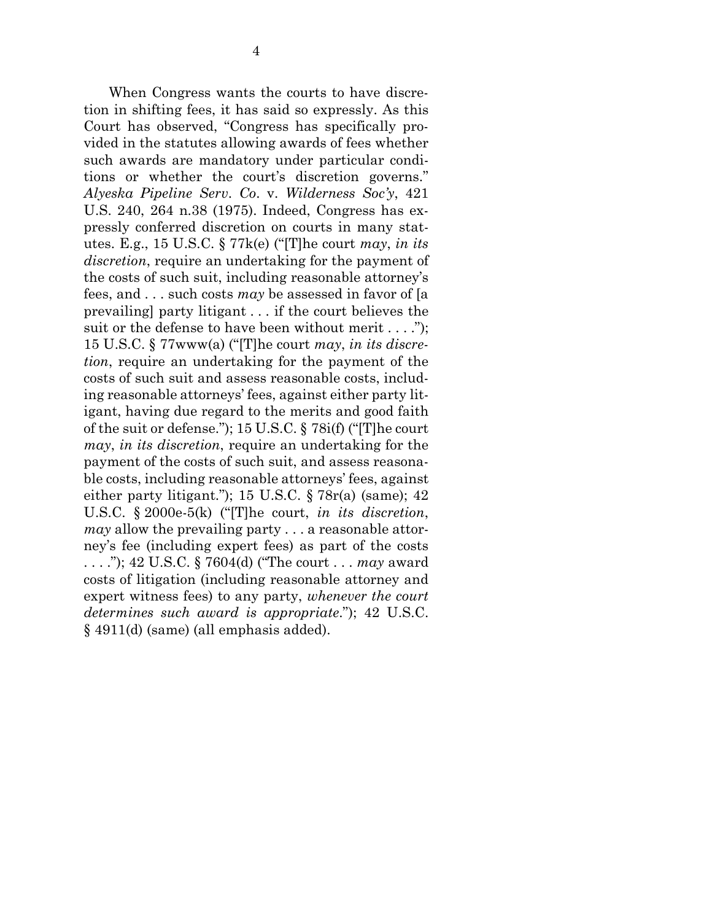When Congress wants the courts to have discretion in shifting fees, it has said so expressly. As this Court has observed, "Congress has specifically provided in the statutes allowing awards of fees whether such awards are mandatory under particular conditions or whether the court's discretion governs." *Alyeska Pipeline Serv*. *Co*. v. *Wilderness Soc'y*, 421 U.S. 240, 264 n.38 (1975). Indeed, Congress has expressly conferred discretion on courts in many statutes. E.g., 15 U.S.C. § 77k(e) ("[T]he court *may*, *in its discretion*, require an undertaking for the payment of the costs of such suit, including reasonable attorney's fees, and . . . such costs *may* be assessed in favor of [a prevailing] party litigant . . . if the court believes the suit or the defense to have been without merit  $\dots$ ."); 15 U.S.C. § 77www(a) ("[T]he court *may*, *in its discretion*, require an undertaking for the payment of the costs of such suit and assess reasonable costs, including reasonable attorneys' fees, against either party litigant, having due regard to the merits and good faith of the suit or defense."); 15 U.S.C. § 78i(f) ("[T]he court *may*, *in its discretion*, require an undertaking for the payment of the costs of such suit, and assess reasonable costs, including reasonable attorneys' fees, against either party litigant."); 15 U.S.C.  $\S 78r(a)$  (same); 42 U.S.C. § 2000e-5(k) ("[T]he court, *in its discretion*, *may* allow the prevailing party . . . a reasonable attorney's fee (including expert fees) as part of the costs . . . ."); 42 U.S.C. § 7604(d) ("The court . . . *may* award costs of litigation (including reasonable attorney and expert witness fees) to any party, *whenever the court determines such award is appropriate*."); 42 U.S.C. § 4911(d) (same) (all emphasis added).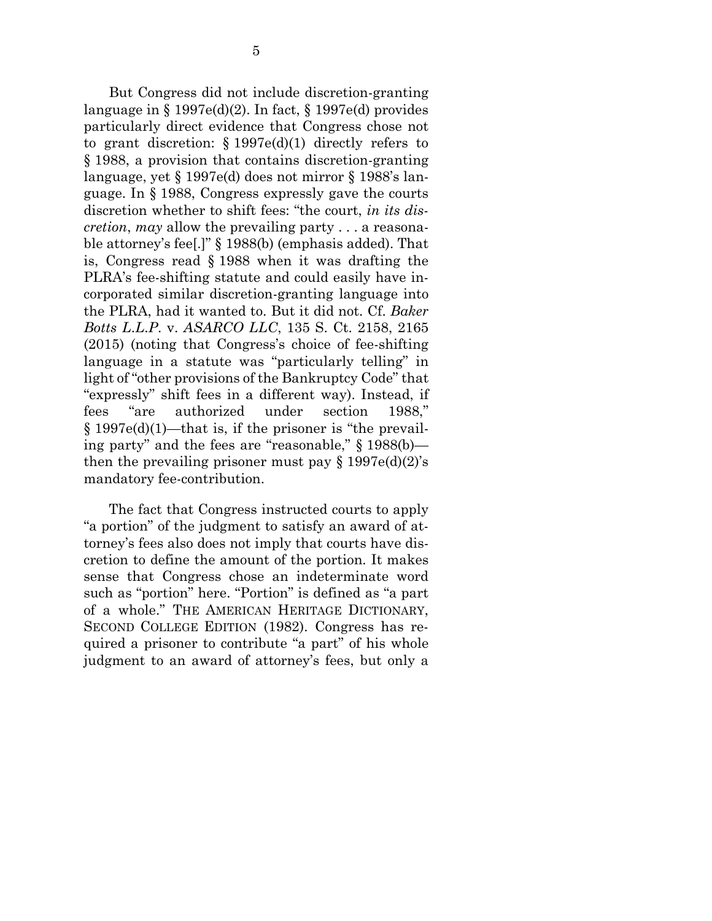But Congress did not include discretion-granting language in § 1997e(d)(2). In fact, § 1997e(d) provides particularly direct evidence that Congress chose not to grant discretion: § 1997e(d)(1) directly refers to § 1988, a provision that contains discretion-granting language, yet § 1997e(d) does not mirror § 1988's language. In § 1988, Congress expressly gave the courts discretion whether to shift fees: "the court, *in its discretion*, *may* allow the prevailing party . . . a reasonable attorney's fee[.]" § 1988(b) (emphasis added). That is, Congress read § 1988 when it was drafting the PLRA's fee-shifting statute and could easily have incorporated similar discretion-granting language into the PLRA, had it wanted to. But it did not. Cf. *Baker Botts L*.*L*.*P*. v. *ASARCO LLC*, 135 S. Ct. 2158, 2165 (2015) (noting that Congress's choice of fee-shifting language in a statute was "particularly telling" in light of "other provisions of the Bankruptcy Code" that "expressly" shift fees in a different way). Instead, if fees "are authorized under section 1988," § 1997e(d)(1)—that is, if the prisoner is "the prevailing party" and the fees are "reasonable," § 1988(b) then the prevailing prisoner must pay  $\S 1997e(d)(2)$ 's mandatory fee-contribution.

The fact that Congress instructed courts to apply "a portion" of the judgment to satisfy an award of attorney's fees also does not imply that courts have discretion to define the amount of the portion. It makes sense that Congress chose an indeterminate word such as "portion" here. "Portion" is defined as "a part of a whole." THE AMERICAN HERITAGE DICTIONARY, SECOND COLLEGE EDITION (1982). Congress has required a prisoner to contribute "a part" of his whole judgment to an award of attorney's fees, but only a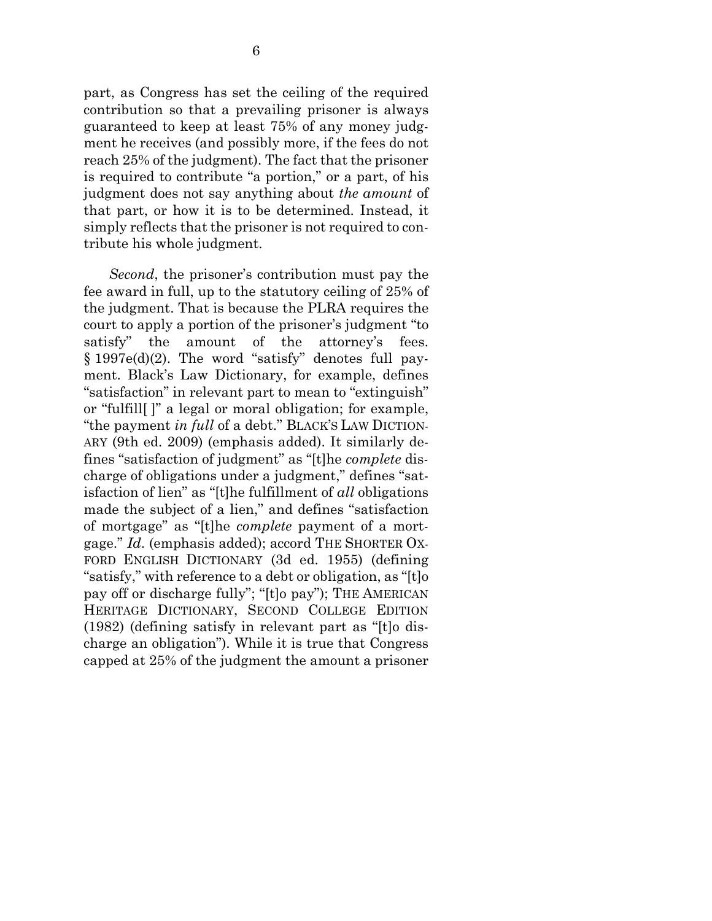part, as Congress has set the ceiling of the required contribution so that a prevailing prisoner is always guaranteed to keep at least 75% of any money judgment he receives (and possibly more, if the fees do not reach 25% of the judgment). The fact that the prisoner is required to contribute "a portion," or a part, of his judgment does not say anything about *the amount* of that part, or how it is to be determined. Instead, it simply reflects that the prisoner is not required to contribute his whole judgment.

*Second*, the prisoner's contribution must pay the fee award in full, up to the statutory ceiling of 25% of the judgment. That is because the PLRA requires the court to apply a portion of the prisoner's judgment "to satisfy" the amount of the attorney's fees. § 1997e(d)(2). The word "satisfy" denotes full payment. Black's Law Dictionary, for example, defines "satisfaction" in relevant part to mean to "extinguish" or "fulfill[ ]" a legal or moral obligation; for example, "the payment *in full* of a debt." BLACK'S LAW DICTION-ARY (9th ed. 2009) (emphasis added). It similarly defines "satisfaction of judgment" as "[t]he *complete* discharge of obligations under a judgment," defines "satisfaction of lien" as "[t]he fulfillment of *all* obligations made the subject of a lien," and defines "satisfaction of mortgage" as "[t]he *complete* payment of a mortgage." *Id*. (emphasis added); accord THE SHORTER OX-FORD ENGLISH DICTIONARY (3d ed. 1955) (defining "satisfy," with reference to a debt or obligation, as "[t]o pay off or discharge fully"; "[t]o pay"); THE AMERICAN HERITAGE DICTIONARY, SECOND COLLEGE EDITION (1982) (defining satisfy in relevant part as "[t]o discharge an obligation"). While it is true that Congress capped at 25% of the judgment the amount a prisoner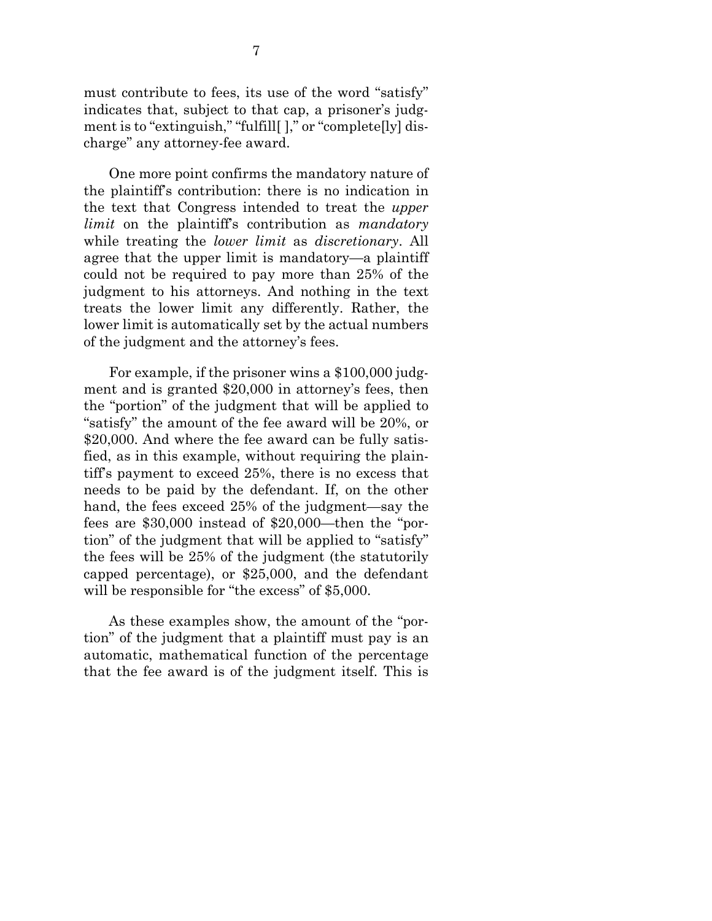must contribute to fees, its use of the word "satisfy" indicates that, subject to that cap, a prisoner's judgment is to "extinguish," "fulfill[ ]," or "complete[ly] discharge" any attorney-fee award.

One more point confirms the mandatory nature of the plaintiff's contribution: there is no indication in the text that Congress intended to treat the *upper limit* on the plaintiff's contribution as *mandatory* while treating the *lower limit* as *discretionary*. All agree that the upper limit is mandatory—a plaintiff could not be required to pay more than 25% of the judgment to his attorneys. And nothing in the text treats the lower limit any differently. Rather, the lower limit is automatically set by the actual numbers of the judgment and the attorney's fees.

For example, if the prisoner wins a \$100,000 judgment and is granted \$20,000 in attorney's fees, then the "portion" of the judgment that will be applied to "satisfy" the amount of the fee award will be 20%, or \$20,000. And where the fee award can be fully satisfied, as in this example, without requiring the plaintiff's payment to exceed 25%, there is no excess that needs to be paid by the defendant. If, on the other hand, the fees exceed 25% of the judgment—say the fees are \$30,000 instead of \$20,000—then the "portion" of the judgment that will be applied to "satisfy" the fees will be 25% of the judgment (the statutorily capped percentage), or \$25,000, and the defendant will be responsible for "the excess" of \$5,000.

As these examples show, the amount of the "portion" of the judgment that a plaintiff must pay is an automatic, mathematical function of the percentage that the fee award is of the judgment itself. This is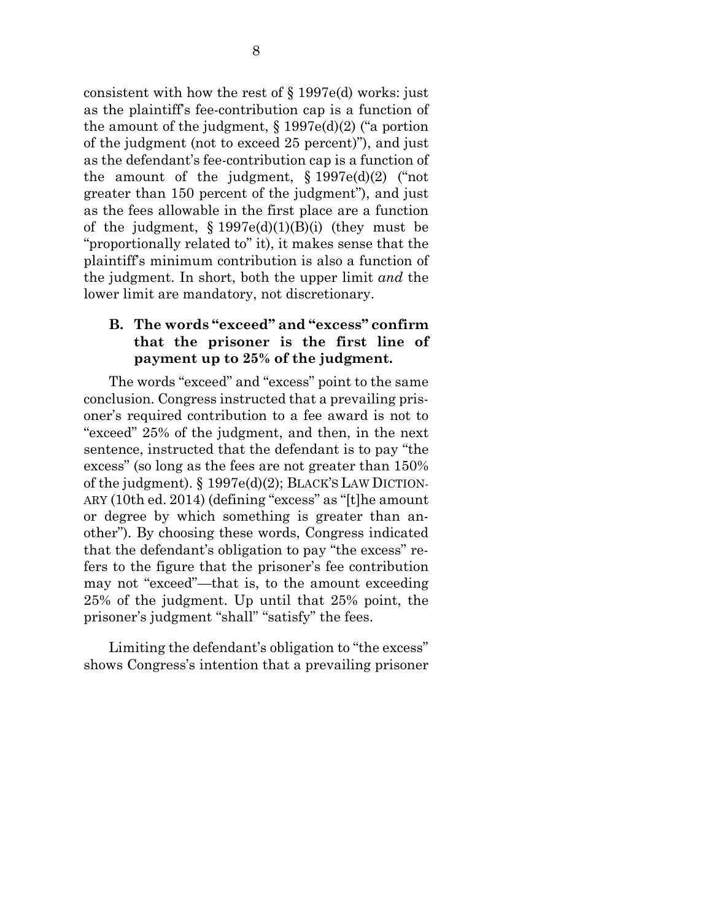consistent with how the rest of § 1997e(d) works: just as the plaintiff's fee-contribution cap is a function of the amount of the judgment,  $\S 1997e(d)(2)$  ("a portion of the judgment (not to exceed 25 percent)"), and just as the defendant's fee-contribution cap is a function of the amount of the judgment,  $\S 1997e(d)(2)$  ("not greater than 150 percent of the judgment"), and just as the fees allowable in the first place are a function of the judgment,  $\S 1997e(d)(1)(B)(i)$  (they must be "proportionally related to" it), it makes sense that the plaintiff's minimum contribution is also a function of the judgment. In short, both the upper limit *and* the lower limit are mandatory, not discretionary.

#### <span id="page-16-0"></span>**B. The words "exceed" and "excess" confirm that the prisoner is the first line of payment up to 25% of the judgment.**

The words "exceed" and "excess" point to the same conclusion. Congress instructed that a prevailing prisoner's required contribution to a fee award is not to "exceed" 25% of the judgment, and then, in the next sentence, instructed that the defendant is to pay "the excess" (so long as the fees are not greater than 150% of the judgment). § 1997e(d)(2); BLACK'S LAW DICTION-ARY (10th ed. 2014) (defining "excess" as "[t]he amount or degree by which something is greater than another"). By choosing these words, Congress indicated that the defendant's obligation to pay "the excess" refers to the figure that the prisoner's fee contribution may not "exceed"—that is, to the amount exceeding 25% of the judgment. Up until that 25% point, the prisoner's judgment "shall" "satisfy" the fees.

Limiting the defendant's obligation to "the excess" shows Congress's intention that a prevailing prisoner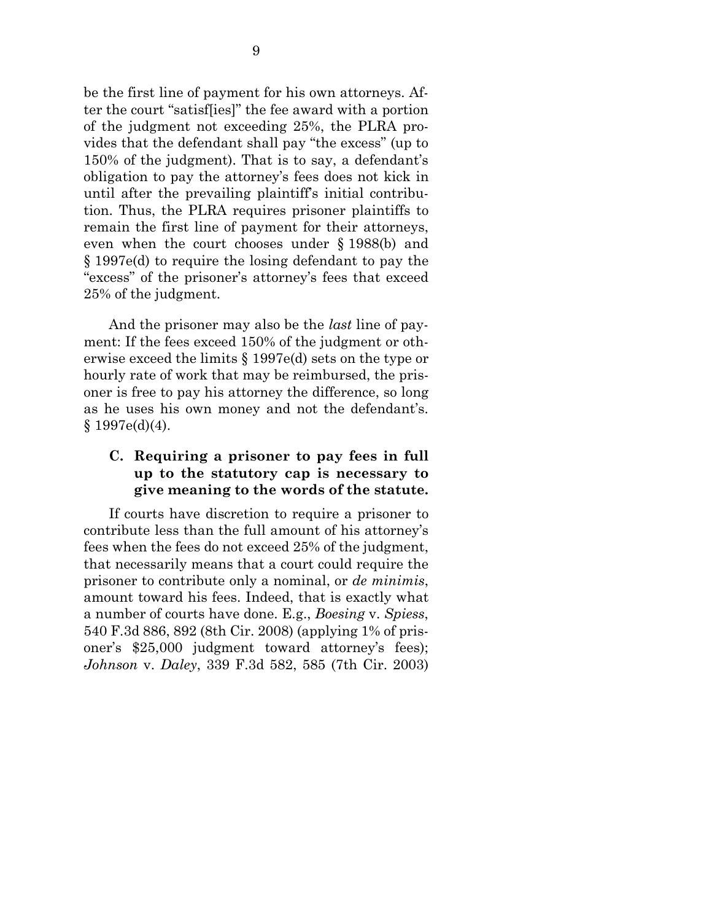be the first line of payment for his own attorneys. After the court "satisf[ies]" the fee award with a portion of the judgment not exceeding 25%, the PLRA provides that the defendant shall pay "the excess" (up to 150% of the judgment). That is to say, a defendant's obligation to pay the attorney's fees does not kick in until after the prevailing plaintiff's initial contribution. Thus, the PLRA requires prisoner plaintiffs to remain the first line of payment for their attorneys, even when the court chooses under § 1988(b) and § 1997e(d) to require the losing defendant to pay the "excess" of the prisoner's attorney's fees that exceed 25% of the judgment.

And the prisoner may also be the *last* line of payment: If the fees exceed 150% of the judgment or otherwise exceed the limits § 1997e(d) sets on the type or hourly rate of work that may be reimbursed, the prisoner is free to pay his attorney the difference, so long as he uses his own money and not the defendant's.  $§ 1997e(d)(4).$ 

#### <span id="page-17-0"></span>**C. Requiring a prisoner to pay fees in full up to the statutory cap is necessary to give meaning to the words of the statute.**

If courts have discretion to require a prisoner to contribute less than the full amount of his attorney's fees when the fees do not exceed 25% of the judgment, that necessarily means that a court could require the prisoner to contribute only a nominal, or *de minimis*, amount toward his fees. Indeed, that is exactly what a number of courts have done. E.g., *Boesing* v. *Spiess*, 540 F.3d 886, 892 (8th Cir. 2008) (applying 1% of prisoner's \$25,000 judgment toward attorney's fees); *Johnson* v. *Daley*, 339 F.3d 582, 585 (7th Cir. 2003)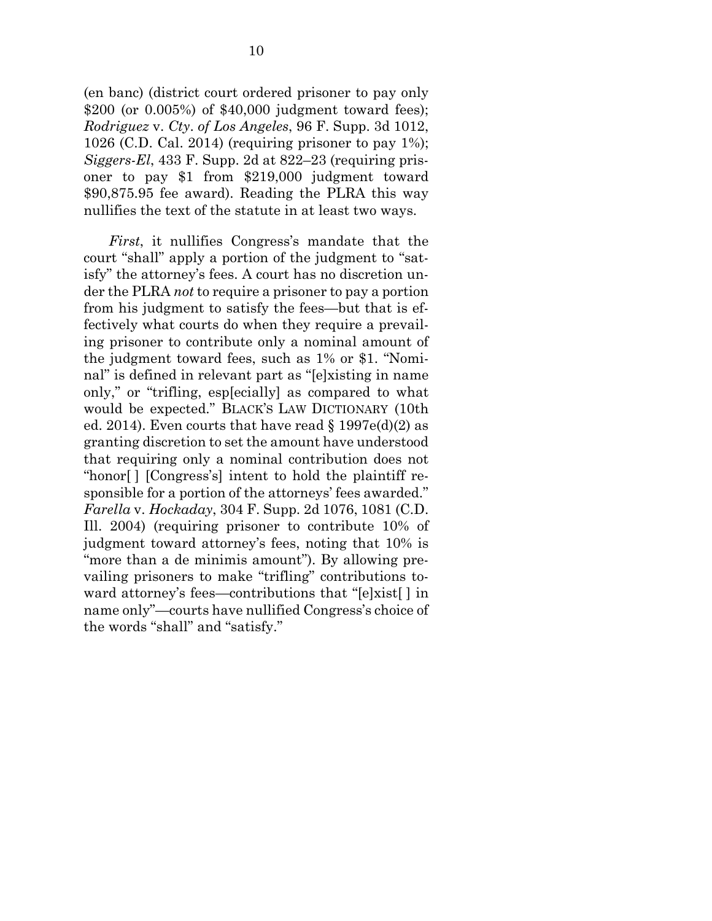(en banc) (district court ordered prisoner to pay only \$200 (or 0.005%) of \$40,000 judgment toward fees); *Rodriguez* v. *Cty*. *of Los Angeles*, 96 F. Supp. 3d 1012, 1026 (C.D. Cal. 2014) (requiring prisoner to pay 1%); *Siggers-El*, 433 F. Supp. 2d at 822–23 (requiring prisoner to pay \$1 from \$219,000 judgment toward \$90,875.95 fee award). Reading the PLRA this way nullifies the text of the statute in at least two ways.

*First*, it nullifies Congress's mandate that the court "shall" apply a portion of the judgment to "satisfy" the attorney's fees. A court has no discretion under the PLRA *not* to require a prisoner to pay a portion from his judgment to satisfy the fees—but that is effectively what courts do when they require a prevailing prisoner to contribute only a nominal amount of the judgment toward fees, such as 1% or \$1. "Nominal" is defined in relevant part as "[e]xisting in name only," or "trifling, esp[ecially] as compared to what would be expected." BLACK'S LAW DICTIONARY (10th ed. 2014). Even courts that have read  $\S 1997e(d)(2)$  as granting discretion to set the amount have understood that requiring only a nominal contribution does not "honor[ ] [Congress's] intent to hold the plaintiff responsible for a portion of the attorneys' fees awarded." *Farella* v. *Hockaday*, 304 F. Supp. 2d 1076, 1081 (C.D. Ill. 2004) (requiring prisoner to contribute 10% of judgment toward attorney's fees, noting that 10% is "more than a de minimis amount"). By allowing prevailing prisoners to make "trifling" contributions toward attorney's fees—contributions that "[e]xist[ ] in name only"—courts have nullified Congress's choice of the words "shall" and "satisfy."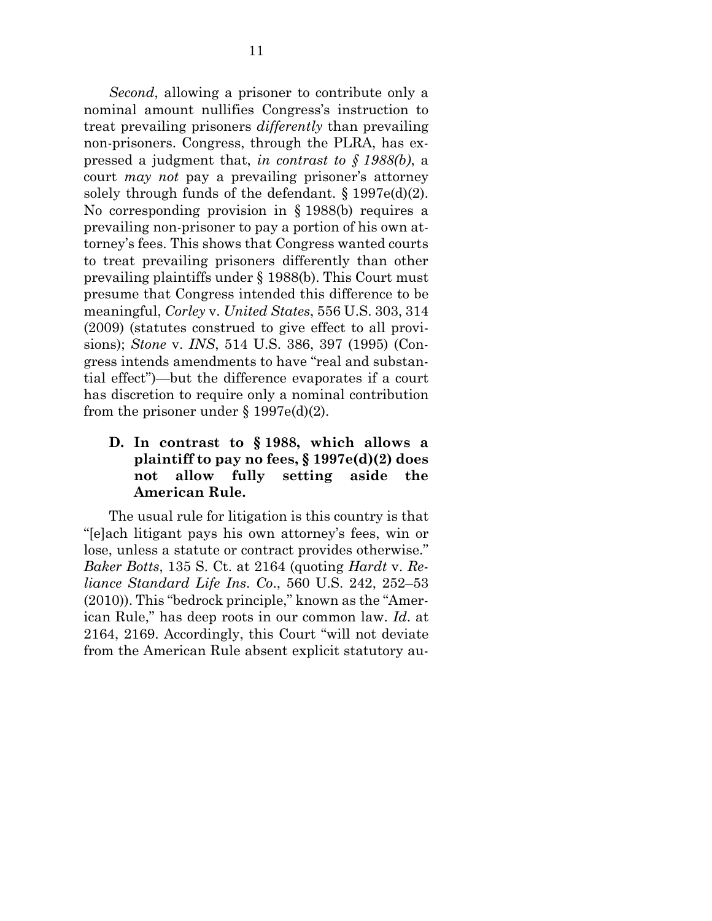*Second*, allowing a prisoner to contribute only a nominal amount nullifies Congress's instruction to treat prevailing prisoners *differently* than prevailing non-prisoners. Congress, through the PLRA, has expressed a judgment that, *in contrast to § 1988(b)*, a court *may not* pay a prevailing prisoner's attorney solely through funds of the defendant.  $\S 1997e(d)(2)$ . No corresponding provision in § 1988(b) requires a prevailing non-prisoner to pay a portion of his own attorney's fees. This shows that Congress wanted courts to treat prevailing prisoners differently than other prevailing plaintiffs under § 1988(b). This Court must presume that Congress intended this difference to be meaningful, *Corley* v. *United States*, 556 U.S. 303, 314 (2009) (statutes construed to give effect to all provisions); *Stone* v. *INS*, 514 U.S. 386, 397 (1995) (Congress intends amendments to have "real and substantial effect")—but the difference evaporates if a court has discretion to require only a nominal contribution from the prisoner under  $\S 1997e(d)(2)$ .

<span id="page-19-0"></span>**D. In contrast to § 1988, which allows a plaintiff to pay no fees, § 1997e(d)(2) does not allow fully setting aside the American Rule.**

The usual rule for litigation is this country is that "[e]ach litigant pays his own attorney's fees, win or lose, unless a statute or contract provides otherwise." *Baker Botts*, 135 S. Ct. at 2164 (quoting *Hardt* v. *Reliance Standard Life Ins*. *Co*., 560 U.S. 242, 252–53 (2010)). This "bedrock principle," known as the "American Rule," has deep roots in our common law. *Id*. at 2164, 2169. Accordingly, this Court "will not deviate from the American Rule absent explicit statutory au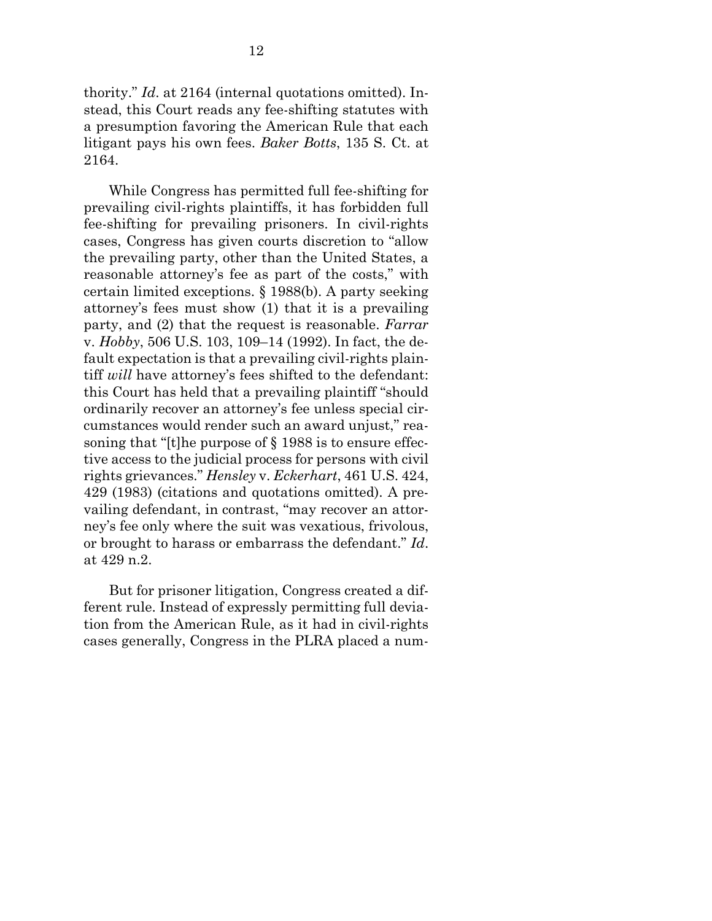thority." *Id*. at 2164 (internal quotations omitted). Instead, this Court reads any fee-shifting statutes with a presumption favoring the American Rule that each litigant pays his own fees. *Baker Botts*, 135 S. Ct. at 2164.

While Congress has permitted full fee-shifting for prevailing civil-rights plaintiffs, it has forbidden full fee-shifting for prevailing prisoners. In civil-rights cases, Congress has given courts discretion to "allow the prevailing party, other than the United States, a reasonable attorney's fee as part of the costs," with certain limited exceptions. § 1988(b). A party seeking attorney's fees must show (1) that it is a prevailing party, and (2) that the request is reasonable. *Farrar*  v. *Hobby*, 506 U.S. 103, 109–14 (1992). In fact, the default expectation is that a prevailing civil-rights plaintiff *will* have attorney's fees shifted to the defendant: this Court has held that a prevailing plaintiff "should ordinarily recover an attorney's fee unless special circumstances would render such an award unjust," reasoning that "[t]he purpose of § 1988 is to ensure effective access to the judicial process for persons with civil rights grievances." *Hensley* v. *Eckerhart*, 461 U.S. 424, 429 (1983) (citations and quotations omitted). A prevailing defendant, in contrast, "may recover an attorney's fee only where the suit was vexatious, frivolous, or brought to harass or embarrass the defendant." *Id*. at 429 n.2.

But for prisoner litigation, Congress created a different rule. Instead of expressly permitting full deviation from the American Rule, as it had in civil-rights cases generally, Congress in the PLRA placed a num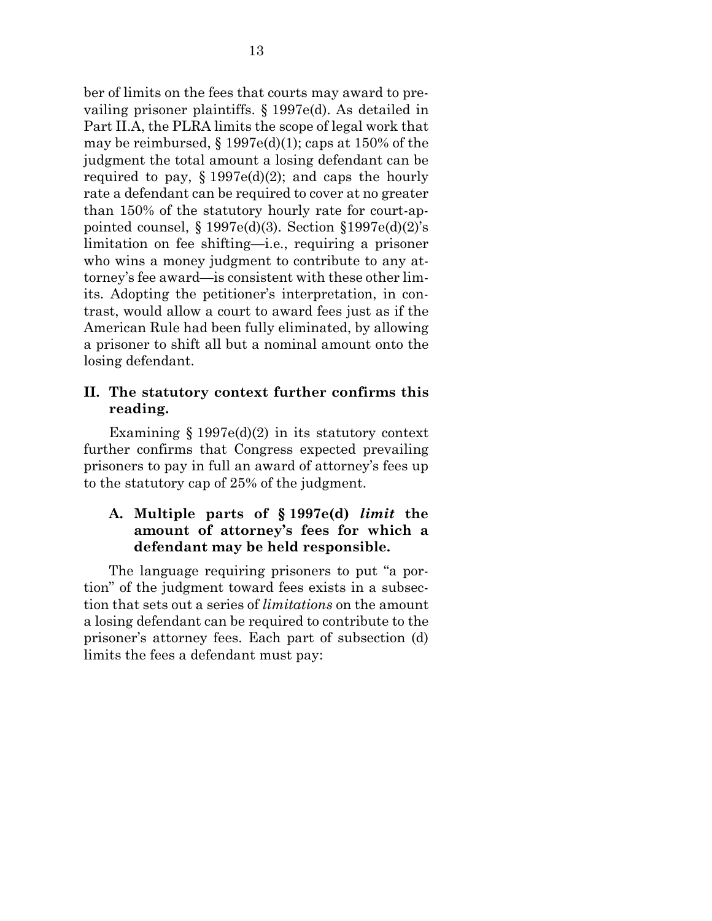ber of limits on the fees that courts may award to prevailing prisoner plaintiffs. § 1997e(d). As detailed in Part II.A, the PLRA limits the scope of legal work that may be reimbursed,  $\S 1997e(d)(1)$ ; caps at 150% of the judgment the total amount a losing defendant can be required to pay,  $\S 1997e(d)(2)$ ; and caps the hourly rate a defendant can be required to cover at no greater than 150% of the statutory hourly rate for court-appointed counsel,  $\S 1997e(d)(3)$ . Section  $\S 1997e(d)(2)'s$ limitation on fee shifting—i.e., requiring a prisoner who wins a money judgment to contribute to any attorney's fee award—is consistent with these other limits. Adopting the petitioner's interpretation, in contrast, would allow a court to award fees just as if the American Rule had been fully eliminated, by allowing a prisoner to shift all but a nominal amount onto the losing defendant.

#### <span id="page-21-0"></span>**II. The statutory context further confirms this reading.**

Examining  $\S 1997e(d)(2)$  in its statutory context further confirms that Congress expected prevailing prisoners to pay in full an award of attorney's fees up to the statutory cap of 25% of the judgment.

#### <span id="page-21-1"></span>**A. Multiple parts of § 1997e(d)** *limit* **the amount of attorney's fees for which a defendant may be held responsible.**

The language requiring prisoners to put "a portion" of the judgment toward fees exists in a subsection that sets out a series of *limitations* on the amount a losing defendant can be required to contribute to the prisoner's attorney fees. Each part of subsection (d) limits the fees a defendant must pay: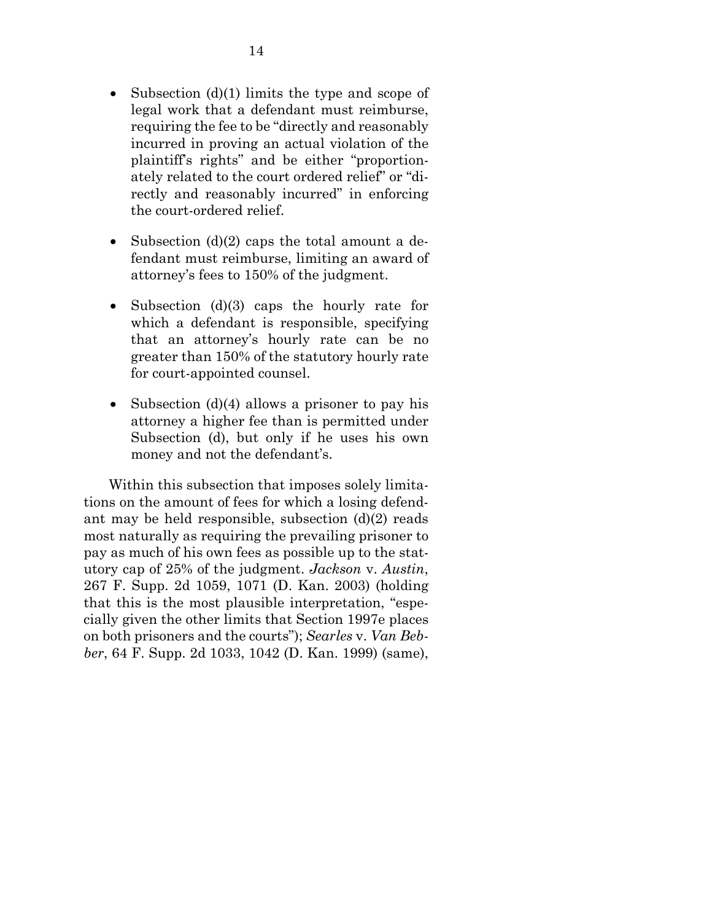- Subsection  $(d)(1)$  limits the type and scope of legal work that a defendant must reimburse, requiring the fee to be "directly and reasonably incurred in proving an actual violation of the plaintiff's rights" and be either "proportionately related to the court ordered relief" or "directly and reasonably incurred" in enforcing the court-ordered relief.
- Subsection  $(d)(2)$  caps the total amount a defendant must reimburse, limiting an award of attorney's fees to 150% of the judgment.
- Subsection  $(d)(3)$  caps the hourly rate for which a defendant is responsible, specifying that an attorney's hourly rate can be no greater than 150% of the statutory hourly rate for court-appointed counsel.
- Subsection  $(d)(4)$  allows a prisoner to pay his attorney a higher fee than is permitted under Subsection (d), but only if he uses his own money and not the defendant's.

Within this subsection that imposes solely limitations on the amount of fees for which a losing defendant may be held responsible, subsection (d)(2) reads most naturally as requiring the prevailing prisoner to pay as much of his own fees as possible up to the statutory cap of 25% of the judgment. *Jackson* v. *Austin*, 267 F. Supp. 2d 1059, 1071 (D. Kan. 2003) (holding that this is the most plausible interpretation, "especially given the other limits that Section 1997e places on both prisoners and the courts"); *Searles* v. *Van Bebber*, 64 F. Supp. 2d 1033, 1042 (D. Kan. 1999) (same),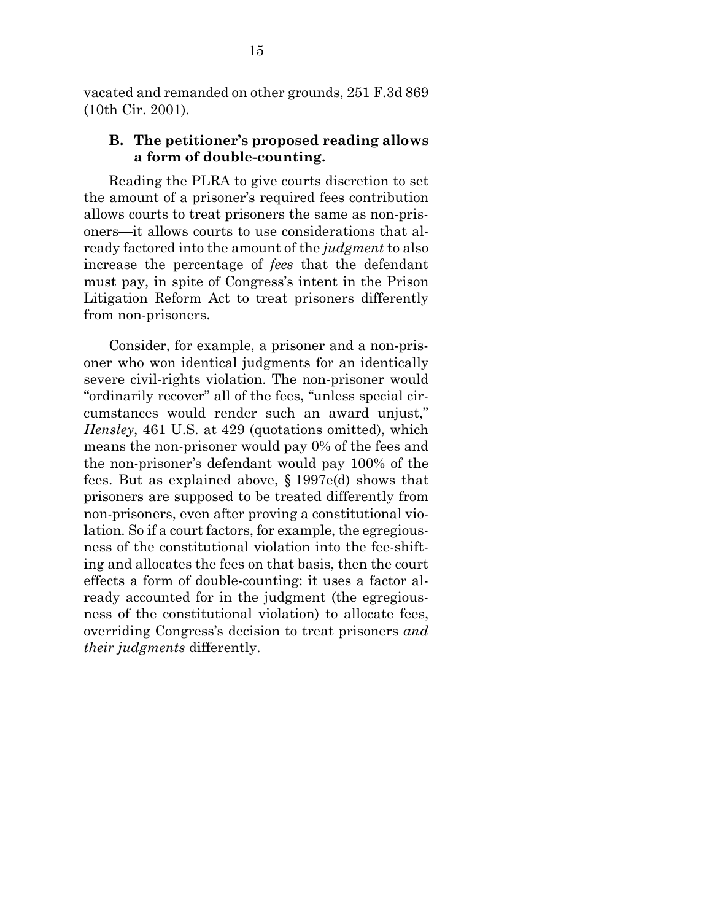vacated and remanded on other grounds, 251 F.3d 869 (10th Cir. 2001).

#### <span id="page-23-0"></span>**B. The petitioner's proposed reading allows a form of double-counting.**

Reading the PLRA to give courts discretion to set the amount of a prisoner's required fees contribution allows courts to treat prisoners the same as non-prisoners—it allows courts to use considerations that already factored into the amount of the *judgment* to also increase the percentage of *fees* that the defendant must pay, in spite of Congress's intent in the Prison Litigation Reform Act to treat prisoners differently from non-prisoners.

Consider, for example, a prisoner and a non-prisoner who won identical judgments for an identically severe civil-rights violation. The non-prisoner would "ordinarily recover" all of the fees, "unless special circumstances would render such an award unjust," *Hensley*, 461 U.S. at 429 (quotations omitted), which means the non-prisoner would pay 0% of the fees and the non-prisoner's defendant would pay 100% of the fees. But as explained above, § 1997e(d) shows that prisoners are supposed to be treated differently from non-prisoners, even after proving a constitutional violation. So if a court factors, for example, the egregiousness of the constitutional violation into the fee-shifting and allocates the fees on that basis, then the court effects a form of double-counting: it uses a factor already accounted for in the judgment (the egregiousness of the constitutional violation) to allocate fees, overriding Congress's decision to treat prisoners *and their judgments* differently.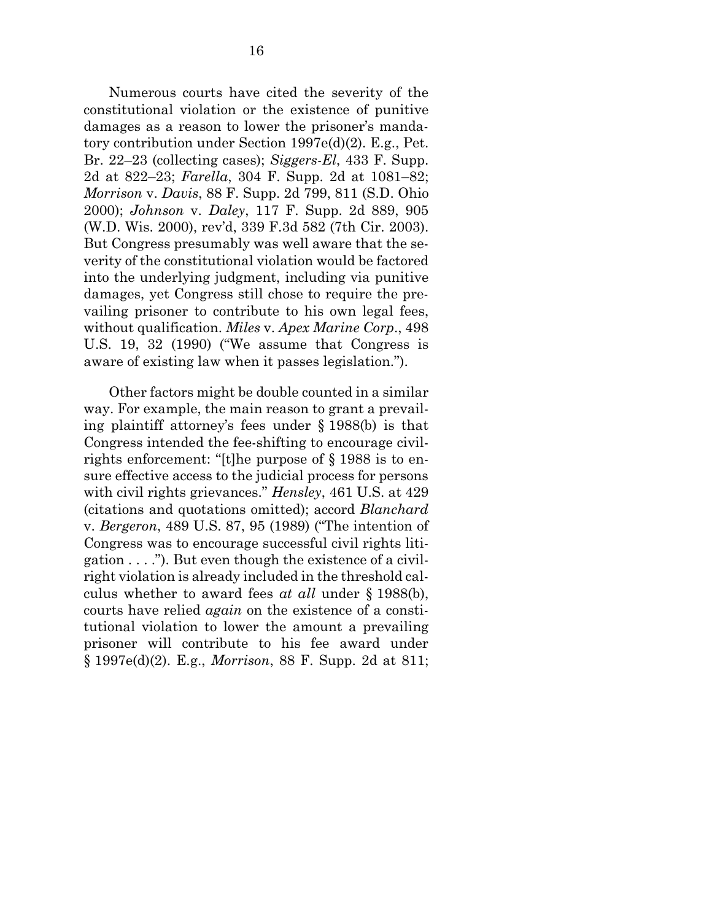Numerous courts have cited the severity of the constitutional violation or the existence of punitive damages as a reason to lower the prisoner's mandatory contribution under Section 1997e(d)(2). E.g., Pet. Br. 22–23 (collecting cases); *Siggers-El*, 433 F. Supp. 2d at 822–23; *Farella*, 304 F. Supp. 2d at 1081–82; *Morrison* v. *Davis*, 88 F. Supp. 2d 799, 811 (S.D. Ohio 2000); *Johnson* v. *Daley*, 117 F. Supp. 2d 889, 905 (W.D. Wis. 2000), rev'd, 339 F.3d 582 (7th Cir. 2003). But Congress presumably was well aware that the severity of the constitutional violation would be factored into the underlying judgment, including via punitive damages, yet Congress still chose to require the prevailing prisoner to contribute to his own legal fees, without qualification. *Miles* v. *Apex Marine Corp*., 498 U.S. 19, 32 (1990) ("We assume that Congress is aware of existing law when it passes legislation.").

Other factors might be double counted in a similar way. For example, the main reason to grant a prevailing plaintiff attorney's fees under § 1988(b) is that Congress intended the fee-shifting to encourage civilrights enforcement: "[t]he purpose of § 1988 is to ensure effective access to the judicial process for persons with civil rights grievances." *Hensley*, 461 U.S. at 429 (citations and quotations omitted); accord *Blanchard* v. *Bergeron*, 489 U.S. 87, 95 (1989) ("The intention of Congress was to encourage successful civil rights litigation . . . ."). But even though the existence of a civilright violation is already included in the threshold calculus whether to award fees *at all* under § 1988(b), courts have relied *again* on the existence of a constitutional violation to lower the amount a prevailing prisoner will contribute to his fee award under § 1997e(d)(2). E.g., *Morrison*, 88 F. Supp. 2d at 811;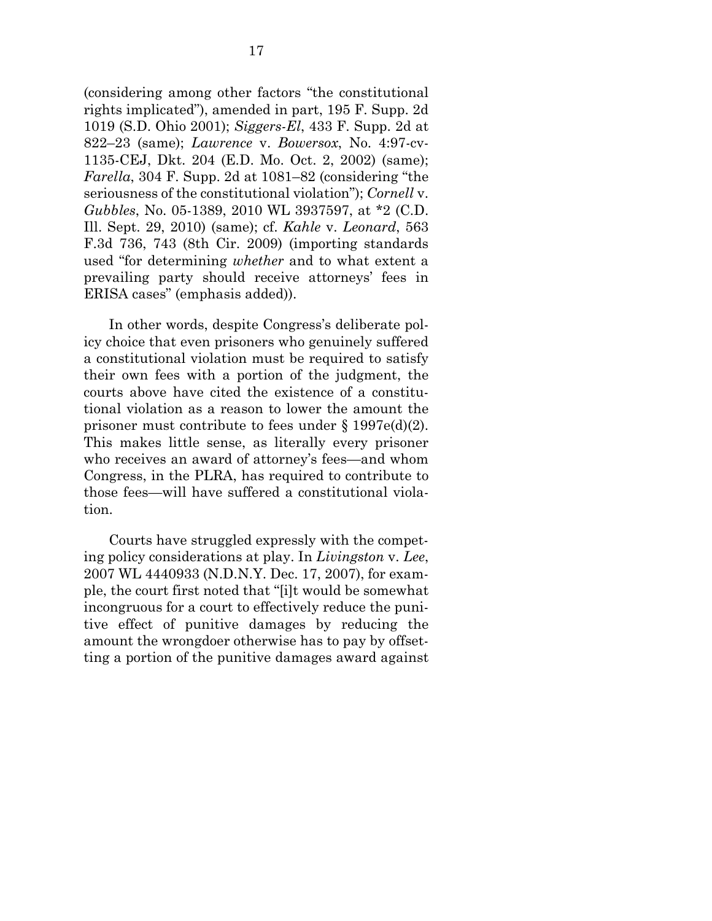(considering among other factors "the constitutional rights implicated"), amended in part, 195 F. Supp. 2d 1019 (S.D. Ohio 2001); *Siggers-El*, 433 F. Supp. 2d at 822–23 (same); *Lawrence* v. *Bowersox*, No. 4:97-cv-1135-CEJ, Dkt. 204 (E.D. Mo. Oct. 2, 2002) (same); *Farella*, 304 F. Supp. 2d at 1081–82 (considering "the seriousness of the constitutional violation"); *Cornell* v. *Gubbles*, No. 05-1389, 2010 WL 3937597, at \*2 (C.D. Ill. Sept. 29, 2010) (same); cf. *Kahle* v. *Leonard*, 563 F.3d 736, 743 (8th Cir. 2009) (importing standards used "for determining *whether* and to what extent a prevailing party should receive attorneys' fees in ERISA cases" (emphasis added)).

In other words, despite Congress's deliberate policy choice that even prisoners who genuinely suffered a constitutional violation must be required to satisfy their own fees with a portion of the judgment, the courts above have cited the existence of a constitutional violation as a reason to lower the amount the prisoner must contribute to fees under § 1997e(d)(2). This makes little sense, as literally every prisoner who receives an award of attorney's fees—and whom Congress, in the PLRA, has required to contribute to those fees—will have suffered a constitutional violation.

Courts have struggled expressly with the competing policy considerations at play. In *Livingston* v. *Lee*, 2007 WL 4440933 (N.D.N.Y. Dec. 17, 2007), for example, the court first noted that "[i]t would be somewhat incongruous for a court to effectively reduce the punitive effect of punitive damages by reducing the amount the wrongdoer otherwise has to pay by offsetting a portion of the punitive damages award against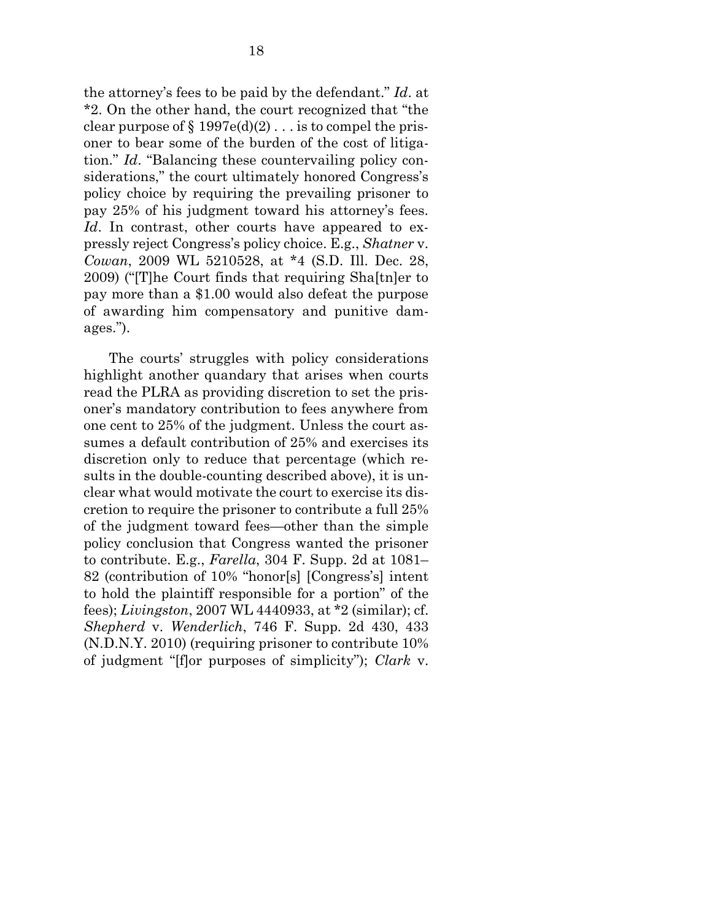the attorney's fees to be paid by the defendant." *Id*. at \*2. On the other hand, the court recognized that "the clear purpose of  $\S 1997e(d)(2)$ ... is to compel the prisoner to bear some of the burden of the cost of litigation." *Id*. "Balancing these countervailing policy considerations," the court ultimately honored Congress's policy choice by requiring the prevailing prisoner to pay 25% of his judgment toward his attorney's fees. *Id*. In contrast, other courts have appeared to expressly reject Congress's policy choice. E.g., *Shatner* v. *Cowan*, 2009 WL 5210528, at \*4 (S.D. Ill. Dec. 28, 2009) ("[T]he Court finds that requiring Sha[tn]er to pay more than a \$1.00 would also defeat the purpose of awarding him compensatory and punitive damages.").

The courts' struggles with policy considerations highlight another quandary that arises when courts read the PLRA as providing discretion to set the prisoner's mandatory contribution to fees anywhere from one cent to 25% of the judgment. Unless the court assumes a default contribution of 25% and exercises its discretion only to reduce that percentage (which results in the double-counting described above), it is unclear what would motivate the court to exercise its discretion to require the prisoner to contribute a full 25% of the judgment toward fees—other than the simple policy conclusion that Congress wanted the prisoner to contribute. E.g., *Farella*, 304 F. Supp. 2d at 1081– 82 (contribution of 10% "honor[s] [Congress's] intent to hold the plaintiff responsible for a portion" of the fees); *Livingston*, 2007 WL 4440933, at \*2 (similar); cf. *Shepherd* v. *Wenderlich*, 746 F. Supp. 2d 430, 433 (N.D.N.Y. 2010) (requiring prisoner to contribute 10% of judgment "[f]or purposes of simplicity"); *Clark* v.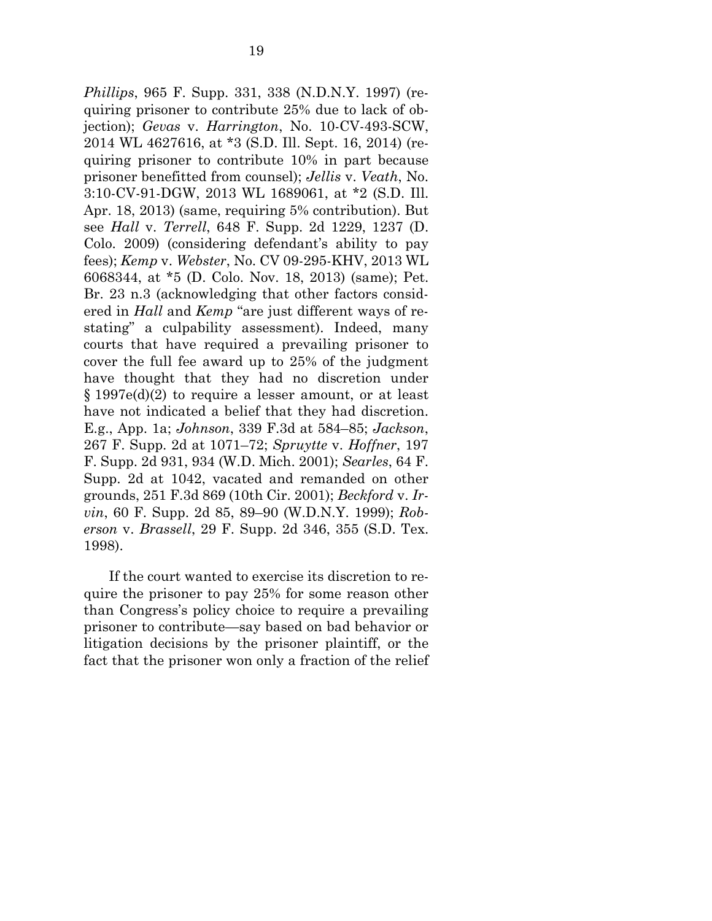*Phillips*, 965 F. Supp. 331, 338 (N.D.N.Y. 1997) (requiring prisoner to contribute 25% due to lack of objection); *Gevas* v. *Harrington*, No. 10-CV-493-SCW, 2014 WL 4627616, at \*3 (S.D. Ill. Sept. 16, 2014) (requiring prisoner to contribute 10% in part because prisoner benefitted from counsel); *Jellis* v. *Veath*, No. 3:10-CV-91-DGW, 2013 WL 1689061, at \*2 (S.D. Ill. Apr. 18, 2013) (same, requiring 5% contribution). But see *Hall* v. *Terrell*, 648 F. Supp. 2d 1229, 1237 (D. Colo. 2009) (considering defendant's ability to pay fees); *Kemp* v. *Webster*, No. CV 09-295-KHV, 2013 WL 6068344, at \*5 (D. Colo. Nov. 18, 2013) (same); Pet. Br. 23 n.3 (acknowledging that other factors considered in *Hall* and *Kemp* "are just different ways of restating" a culpability assessment). Indeed, many courts that have required a prevailing prisoner to cover the full fee award up to 25% of the judgment have thought that they had no discretion under § 1997e(d)(2) to require a lesser amount, or at least have not indicated a belief that they had discretion. E.g., App. 1a; *Johnson*, 339 F.3d at 584–85; *Jackson*, 267 F. Supp. 2d at 1071–72; *Spruytte* v. *Hoffner*, 197 F. Supp. 2d 931, 934 (W.D. Mich. 2001); *Searles*, 64 F. Supp. 2d at 1042, vacated and remanded on other grounds, 251 F.3d 869 (10th Cir. 2001); *Beckford* v. *Irvin*, 60 F. Supp. 2d 85, 89–90 (W.D.N.Y. 1999); *Roberson* v. *Brassell*, 29 F. Supp. 2d 346, 355 (S.D. Tex. 1998).

If the court wanted to exercise its discretion to require the prisoner to pay 25% for some reason other than Congress's policy choice to require a prevailing prisoner to contribute—say based on bad behavior or litigation decisions by the prisoner plaintiff, or the fact that the prisoner won only a fraction of the relief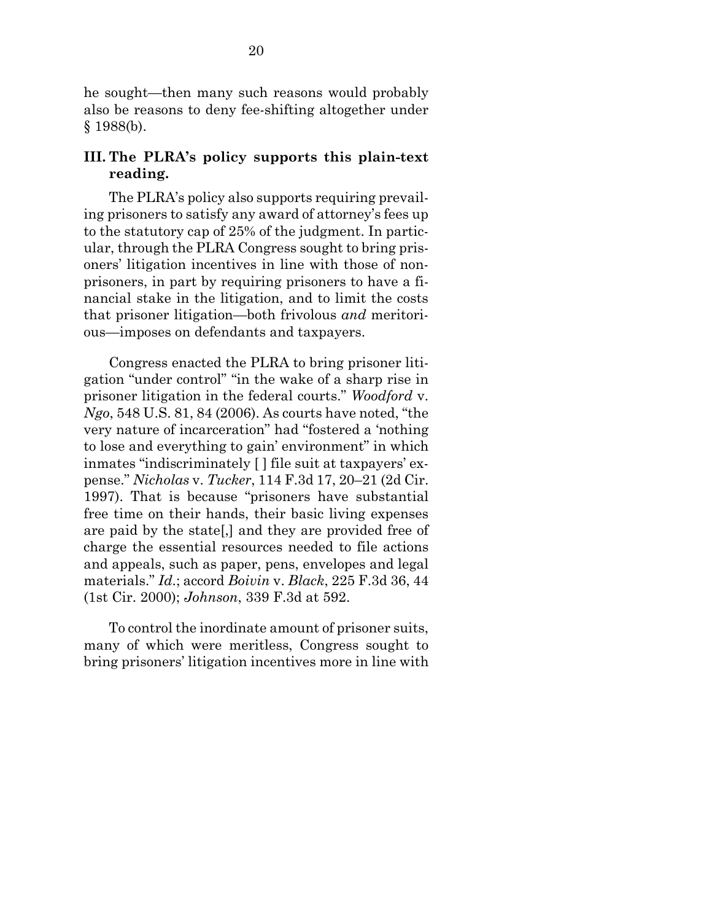he sought—then many such reasons would probably also be reasons to deny fee-shifting altogether under § 1988(b).

#### <span id="page-28-0"></span>**III. The PLRA's policy supports this plain-text reading.**

The PLRA's policy also supports requiring prevailing prisoners to satisfy any award of attorney's fees up to the statutory cap of 25% of the judgment. In particular, through the PLRA Congress sought to bring prisoners' litigation incentives in line with those of nonprisoners, in part by requiring prisoners to have a financial stake in the litigation, and to limit the costs that prisoner litigation—both frivolous *and* meritorious—imposes on defendants and taxpayers.

Congress enacted the PLRA to bring prisoner litigation "under control" "in the wake of a sharp rise in prisoner litigation in the federal courts." *Woodford* v. *Ngo*, 548 U.S. 81, 84 (2006). As courts have noted, "the very nature of incarceration" had "fostered a 'nothing to lose and everything to gain' environment" in which inmates "indiscriminately [ ] file suit at taxpayers' expense." *Nicholas* v. *Tucker*, 114 F.3d 17, 20–21 (2d Cir. 1997). That is because "prisoners have substantial free time on their hands, their basic living expenses are paid by the state[,] and they are provided free of charge the essential resources needed to file actions and appeals, such as paper, pens, envelopes and legal materials." *Id*.; accord *Boivin* v. *Black*, 225 F.3d 36, 44 (1st Cir. 2000); *Johnson*, 339 F.3d at 592.

To control the inordinate amount of prisoner suits, many of which were meritless, Congress sought to bring prisoners' litigation incentives more in line with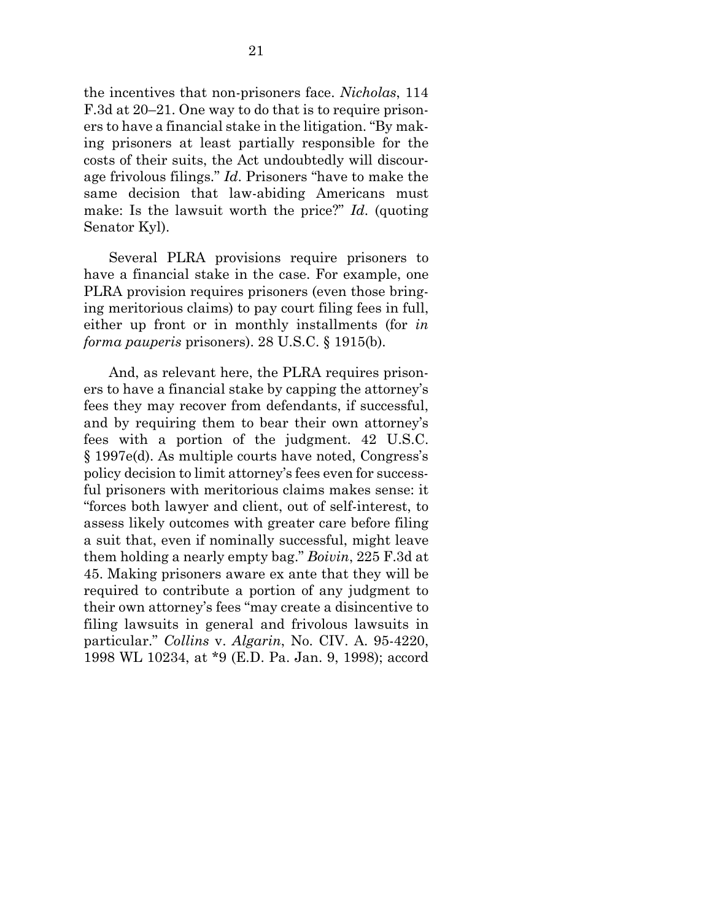the incentives that non-prisoners face. *Nicholas*, 114 F.3d at 20–21. One way to do that is to require prisoners to have a financial stake in the litigation. "By making prisoners at least partially responsible for the costs of their suits, the Act undoubtedly will discourage frivolous filings." *Id*. Prisoners "have to make the same decision that law-abiding Americans must make: Is the lawsuit worth the price?" *Id*. (quoting Senator Kyl).

Several PLRA provisions require prisoners to have a financial stake in the case. For example, one PLRA provision requires prisoners (even those bringing meritorious claims) to pay court filing fees in full, either up front or in monthly installments (for *in forma pauperis* prisoners). 28 U.S.C. § 1915(b).

And, as relevant here, the PLRA requires prisoners to have a financial stake by capping the attorney's fees they may recover from defendants, if successful, and by requiring them to bear their own attorney's fees with a portion of the judgment. 42 U.S.C. § 1997e(d). As multiple courts have noted, Congress's policy decision to limit attorney's fees even for successful prisoners with meritorious claims makes sense: it "forces both lawyer and client, out of self-interest, to assess likely outcomes with greater care before filing a suit that, even if nominally successful, might leave them holding a nearly empty bag." *Boivin*, 225 F.3d at 45. Making prisoners aware ex ante that they will be required to contribute a portion of any judgment to their own attorney's fees "may create a disincentive to filing lawsuits in general and frivolous lawsuits in particular." *Collins* v. *Algarin*, No. CIV. A. 95-4220, 1998 WL 10234, at \*9 (E.D. Pa. Jan. 9, 1998); accord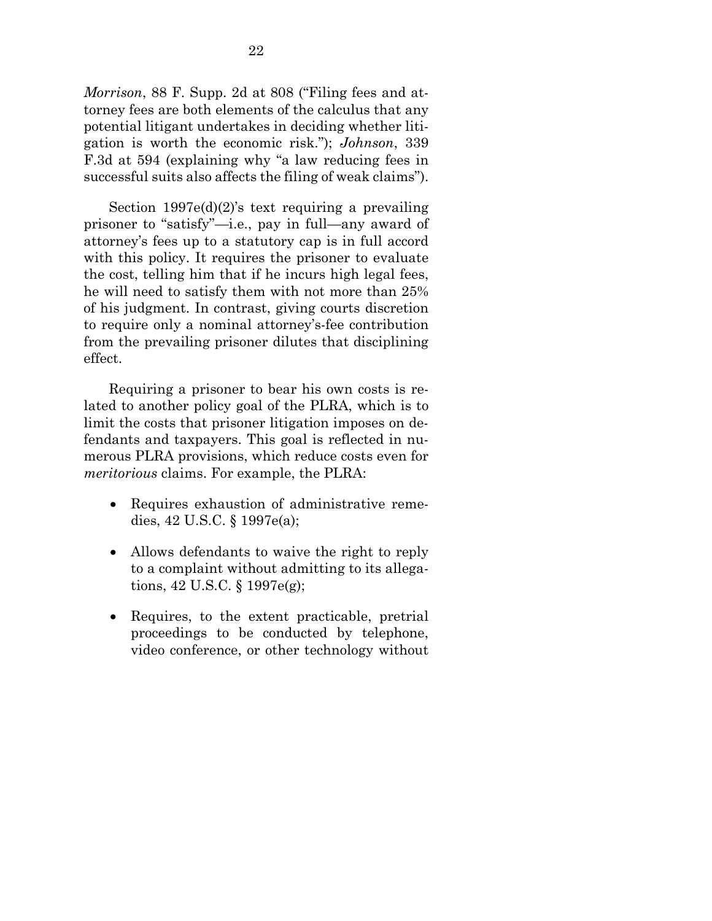*Morrison*, 88 F. Supp. 2d at 808 ("Filing fees and attorney fees are both elements of the calculus that any potential litigant undertakes in deciding whether litigation is worth the economic risk."); *Johnson*, 339 F.3d at 594 (explaining why "a law reducing fees in successful suits also affects the filing of weak claims").

Section 1997e(d)(2)'s text requiring a prevailing prisoner to "satisfy"—i.e., pay in full—any award of attorney's fees up to a statutory cap is in full accord with this policy. It requires the prisoner to evaluate the cost, telling him that if he incurs high legal fees, he will need to satisfy them with not more than 25% of his judgment. In contrast, giving courts discretion to require only a nominal attorney's-fee contribution from the prevailing prisoner dilutes that disciplining effect.

Requiring a prisoner to bear his own costs is related to another policy goal of the PLRA, which is to limit the costs that prisoner litigation imposes on defendants and taxpayers. This goal is reflected in numerous PLRA provisions, which reduce costs even for *meritorious* claims. For example, the PLRA:

- Requires exhaustion of administrative remedies, 42 U.S.C. § 1997e(a);
- Allows defendants to waive the right to reply to a complaint without admitting to its allegations, 42 U.S.C. § 1997e(g);
- Requires, to the extent practicable, pretrial proceedings to be conducted by telephone, video conference, or other technology without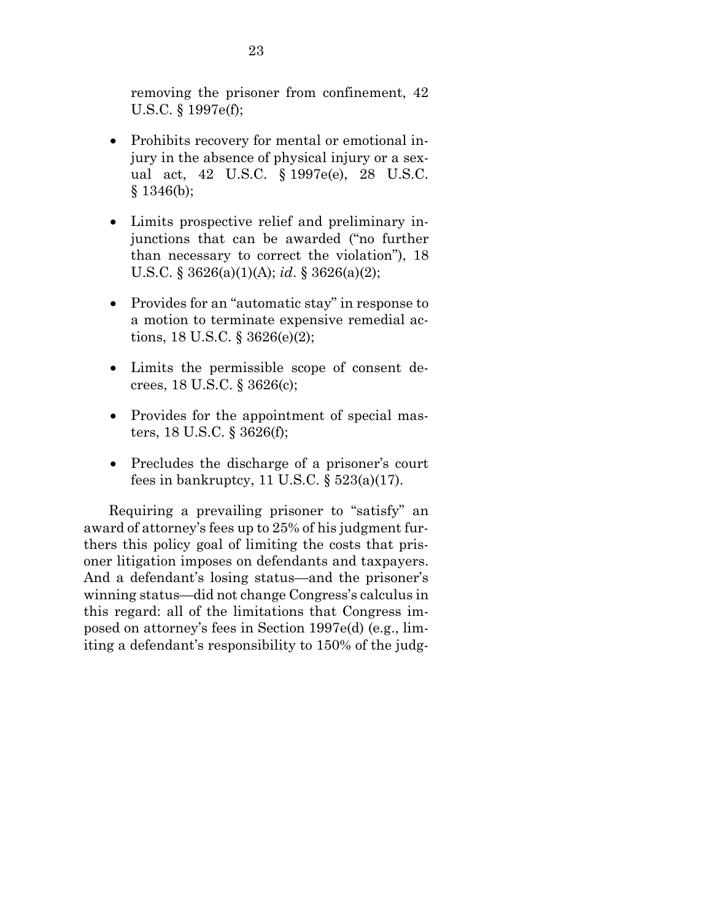removing the prisoner from confinement, 42 U.S.C. § 1997e(f);

- Prohibits recovery for mental or emotional injury in the absence of physical injury or a sexual act, 42 U.S.C. § 1997e(e), 28 U.S.C. § 1346(b);
- Limits prospective relief and preliminary injunctions that can be awarded ("no further than necessary to correct the violation"), 18 U.S.C. § 3626(a)(1)(A); *id*. § 3626(a)(2);
- Provides for an "automatic stay" in response to a motion to terminate expensive remedial actions, 18 U.S.C. § 3626(e)(2);
- Limits the permissible scope of consent decrees, 18 U.S.C. § 3626(c);
- Provides for the appointment of special masters, 18 U.S.C. § 3626(f);
- Precludes the discharge of a prisoner's court fees in bankruptcy, 11 U.S.C.  $\S$  523(a)(17).

Requiring a prevailing prisoner to "satisfy" an award of attorney's fees up to 25% of his judgment furthers this policy goal of limiting the costs that prisoner litigation imposes on defendants and taxpayers. And a defendant's losing status—and the prisoner's winning status—did not change Congress's calculus in this regard: all of the limitations that Congress imposed on attorney's fees in Section 1997e(d) (e.g., limiting a defendant's responsibility to 150% of the judg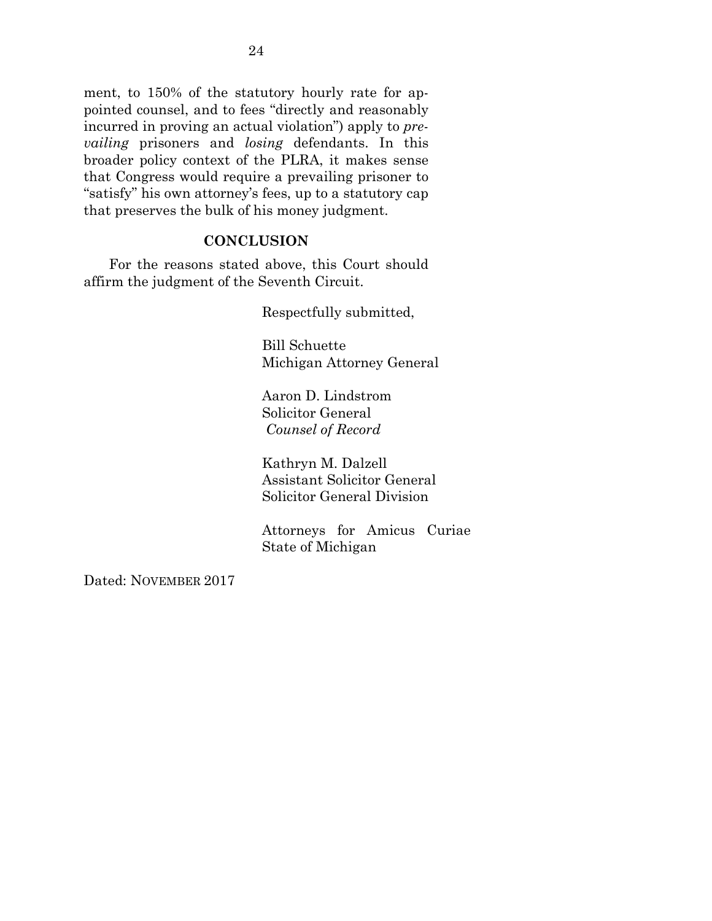ment, to 150% of the statutory hourly rate for appointed counsel, and to fees "directly and reasonably incurred in proving an actual violation") apply to *prevailing* prisoners and *losing* defendants. In this broader policy context of the PLRA, it makes sense that Congress would require a prevailing prisoner to "satisfy" his own attorney's fees, up to a statutory cap that preserves the bulk of his money judgment.

#### **CONCLUSION**

<span id="page-32-0"></span>For the reasons stated above, this Court should affirm the judgment of the Seventh Circuit.

Respectfully submitted,

Bill Schuette Michigan Attorney General

Aaron D. Lindstrom Solicitor General *Counsel of Record*

Kathryn M. Dalzell Assistant Solicitor General Solicitor General Division

Attorneys for Amicus Curiae State of Michigan

Dated: NOVEMBER 2017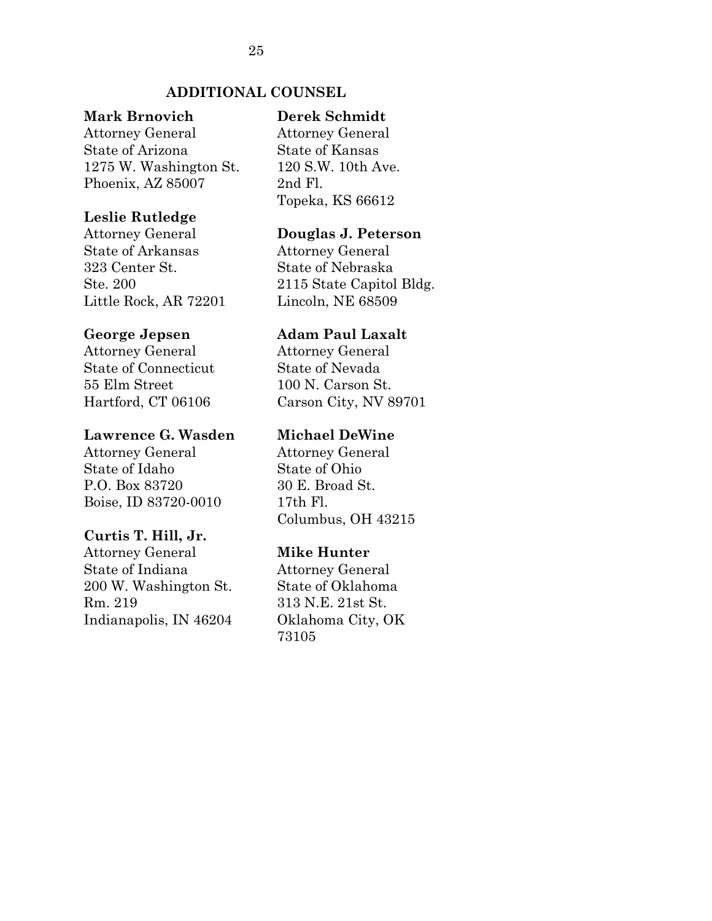### **ADDITIONAL COUNSEL**

#### <span id="page-33-0"></span>**Mark Brnovich**

**Derek Schmidt**

Attorney General State of Arizona 1275 W. Washington St. Phoenix, AZ 85007

#### **Leslie Rutledge**

Attorney General State of Arkansas 323 Center St. Ste. 200 Little Rock, AR 72201

#### **George Jepsen**

Attorney General State of Connecticut 55 Elm Street Hartford, CT 06106

#### **Lawrence G. Wasden**

Attorney General State of Idaho P.O. Box 83720 Boise, ID 83720-0010

#### **Curtis T. Hill, Jr.**

Attorney General State of Indiana 200 W. Washington St. Rm. 219 Indianapolis, IN 46204 Attorney General State of Kansas 120 S.W. 10th Ave. 2nd Fl. Topeka, KS 66612

#### **Douglas J. Peterson**

Attorney General State of Nebraska 2115 State Capitol Bldg.

Attorney General State of Nevada 100 N. Carson St. Carson City, NV 89701

#### **Michael DeWine**

Attorney General State of Ohio 30 E. Broad St. 17th Fl. Columbus, OH 43215

#### **Mike Hunter**

Attorney General State of Oklahoma 313 N.E. 21st St. Oklahoma City, OK 73105

# Lincoln, NE 68509 **Adam Paul Laxalt**

25